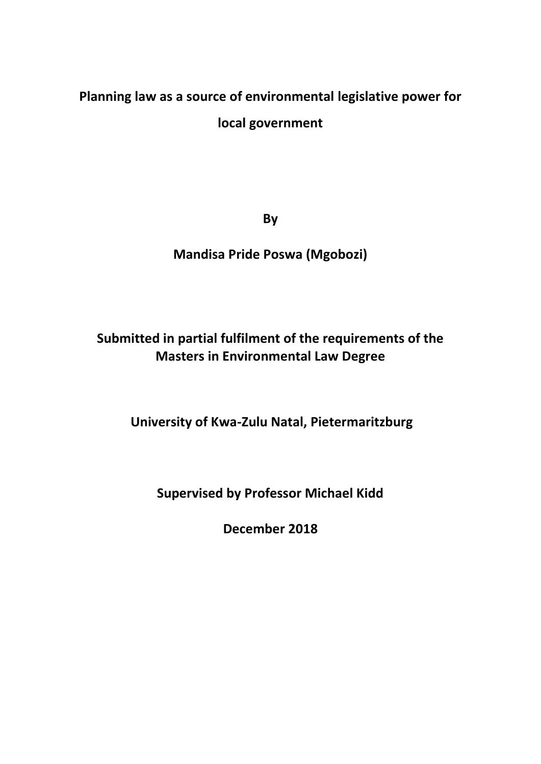# **Planning law as a source of environmental legislative power for local government**

**By**

# **Mandisa Pride Poswa (Mgobozi)**

# **Submitted in partial fulfilment of the requirements of the Masters in Environmental Law Degree**

**University of Kwa-Zulu Natal, Pietermaritzburg**

**Supervised by Professor Michael Kidd**

**December 2018**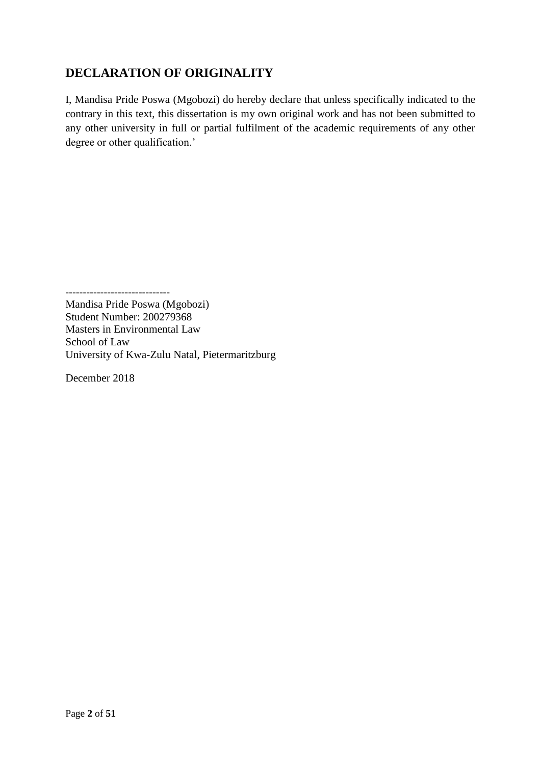# <span id="page-1-0"></span>**DECLARATION OF ORIGINALITY**

I, Mandisa Pride Poswa (Mgobozi) do hereby declare that unless specifically indicated to the contrary in this text, this dissertation is my own original work and has not been submitted to any other university in full or partial fulfilment of the academic requirements of any other degree or other qualification.'

------------------------------

Mandisa Pride Poswa (Mgobozi) Student Number: 200279368 Masters in Environmental Law School of Law University of Kwa-Zulu Natal, Pietermaritzburg

December 2018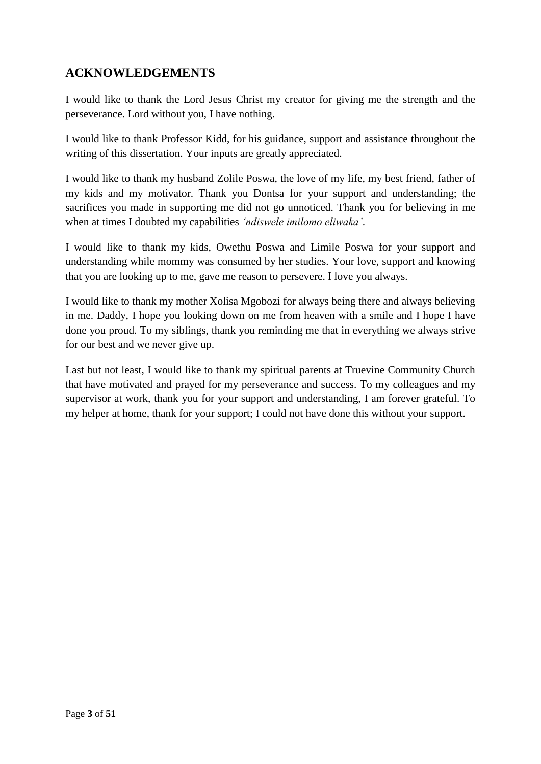### <span id="page-2-0"></span>**ACKNOWLEDGEMENTS**

I would like to thank the Lord Jesus Christ my creator for giving me the strength and the perseverance. Lord without you, I have nothing.

I would like to thank Professor Kidd, for his guidance, support and assistance throughout the writing of this dissertation. Your inputs are greatly appreciated.

I would like to thank my husband Zolile Poswa, the love of my life, my best friend, father of my kids and my motivator. Thank you Dontsa for your support and understanding; the sacrifices you made in supporting me did not go unnoticed. Thank you for believing in me when at times I doubted my capabilities *'ndiswele imilomo eliwaka'*.

I would like to thank my kids, Owethu Poswa and Limile Poswa for your support and understanding while mommy was consumed by her studies. Your love, support and knowing that you are looking up to me, gave me reason to persevere. I love you always.

I would like to thank my mother Xolisa Mgobozi for always being there and always believing in me. Daddy, I hope you looking down on me from heaven with a smile and I hope I have done you proud. To my siblings, thank you reminding me that in everything we always strive for our best and we never give up.

Last but not least, I would like to thank my spiritual parents at Truevine Community Church that have motivated and prayed for my perseverance and success. To my colleagues and my supervisor at work, thank you for your support and understanding, I am forever grateful. To my helper at home, thank for your support; I could not have done this without your support.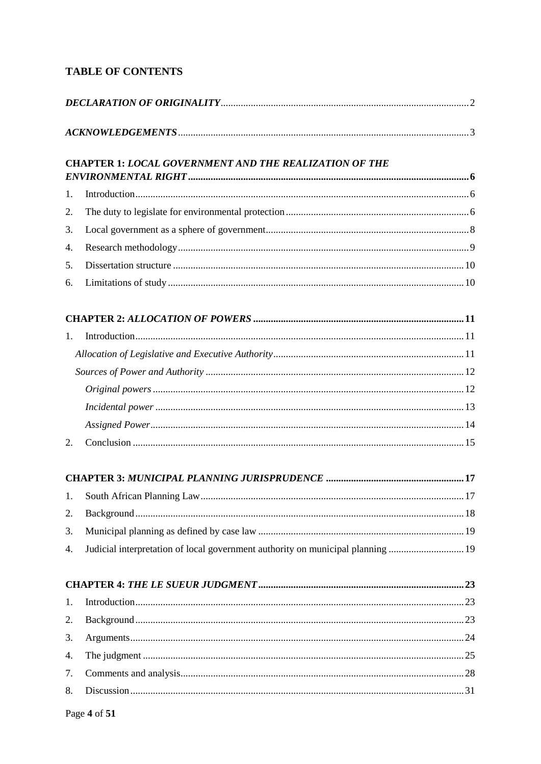### **TABLE OF CONTENTS**

|    | <b>CHAPTER 1: LOCAL GOVERNMENT AND THE REALIZATION OF THE</b>                   |  |  |  |  |
|----|---------------------------------------------------------------------------------|--|--|--|--|
| 1. |                                                                                 |  |  |  |  |
| 2. |                                                                                 |  |  |  |  |
| 3. |                                                                                 |  |  |  |  |
| 4. |                                                                                 |  |  |  |  |
| 5. |                                                                                 |  |  |  |  |
| 6. |                                                                                 |  |  |  |  |
|    |                                                                                 |  |  |  |  |
| 1. |                                                                                 |  |  |  |  |
|    |                                                                                 |  |  |  |  |
|    |                                                                                 |  |  |  |  |
|    |                                                                                 |  |  |  |  |
|    |                                                                                 |  |  |  |  |
|    |                                                                                 |  |  |  |  |
| 2. |                                                                                 |  |  |  |  |
|    |                                                                                 |  |  |  |  |
| 1. |                                                                                 |  |  |  |  |
| 2. |                                                                                 |  |  |  |  |
| 3. |                                                                                 |  |  |  |  |
| 4. | Judicial interpretation of local government authority on municipal planning  19 |  |  |  |  |
|    |                                                                                 |  |  |  |  |
| 1. |                                                                                 |  |  |  |  |
| 2. |                                                                                 |  |  |  |  |
| 3. |                                                                                 |  |  |  |  |
| 4. |                                                                                 |  |  |  |  |
| 7. |                                                                                 |  |  |  |  |
| 8. |                                                                                 |  |  |  |  |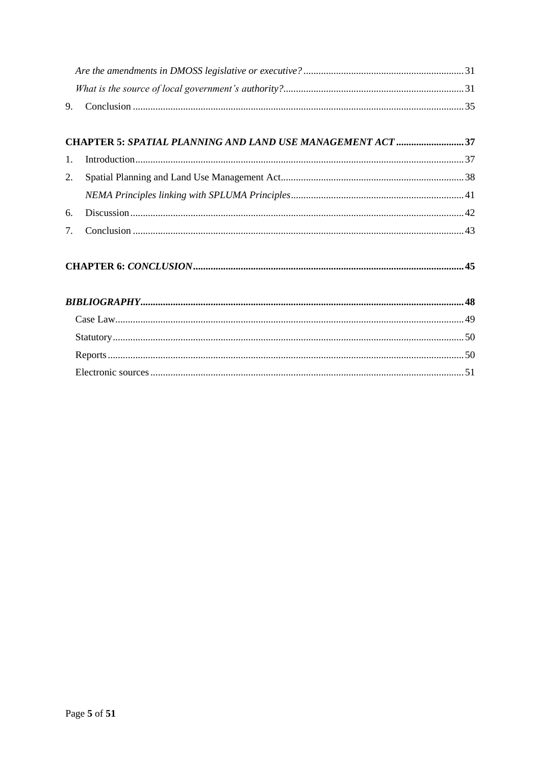| 9.             |                                                            |  |  |  |
|----------------|------------------------------------------------------------|--|--|--|
|                |                                                            |  |  |  |
|                | CHAPTER 5: SPATIAL PLANNING AND LAND USE MANAGEMENT ACT 37 |  |  |  |
| $\mathbf{1}$ . |                                                            |  |  |  |
| 2.             |                                                            |  |  |  |
|                |                                                            |  |  |  |
| 6.             |                                                            |  |  |  |
| 7.             |                                                            |  |  |  |
|                |                                                            |  |  |  |
|                |                                                            |  |  |  |
|                |                                                            |  |  |  |
|                |                                                            |  |  |  |
|                |                                                            |  |  |  |
|                |                                                            |  |  |  |
|                |                                                            |  |  |  |
|                |                                                            |  |  |  |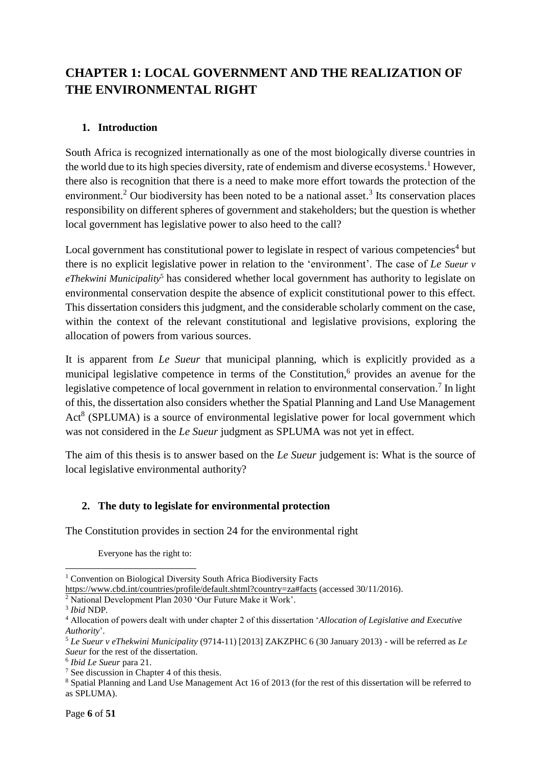# <span id="page-5-0"></span>**CHAPTER 1: LOCAL GOVERNMENT AND THE REALIZATION OF THE ENVIRONMENTAL RIGHT**

#### <span id="page-5-1"></span>**1. Introduction**

South Africa is recognized internationally as one of the most biologically diverse countries in the world due to its high species diversity, rate of endemism and diverse ecosystems. <sup>1</sup> However, there also is recognition that there is a need to make more effort towards the protection of the environment.<sup>2</sup> Our biodiversity has been noted to be a national asset.<sup>3</sup> Its conservation places responsibility on different spheres of government and stakeholders; but the question is whether local government has legislative power to also heed to the call?

Local government has constitutional power to legislate in respect of various competencies<sup>4</sup> but there is no explicit legislative power in relation to the 'environment'. The case of *Le Sueur v eThekwini Municipality*<sup>5</sup> has considered whether local government has authority to legislate on environmental conservation despite the absence of explicit constitutional power to this effect. This dissertation considers this judgment, and the considerable scholarly comment on the case, within the context of the relevant constitutional and legislative provisions, exploring the allocation of powers from various sources.

It is apparent from *Le Sueur* that municipal planning, which is explicitly provided as a municipal legislative competence in terms of the Constitution,<sup>6</sup> provides an avenue for the legislative competence of local government in relation to environmental conservation.<sup>7</sup> In light of this, the dissertation also considers whether the Spatial Planning and Land Use Management Act<sup>8</sup> (SPLUMA) is a source of environmental legislative power for local government which was not considered in the *Le Sueur* judgment as SPLUMA was not yet in effect.

The aim of this thesis is to answer based on the *Le Sueur* judgement is: What is the source of local legislative environmental authority?

#### <span id="page-5-2"></span>**2. The duty to legislate for environmental protection**

The Constitution provides in section 24 for the environmental right

Everyone has the right to:

<sup>1</sup> <sup>1</sup> Convention on Biological Diversity South Africa Biodiversity Facts

<https://www.cbd.int/countries/profile/default.shtml?country=za#facts> (accessed 30/11/2016).

<sup>2</sup> National Development Plan 2030 'Our Future Make it Work'.

<sup>3</sup> *Ibid* NDP*.*

<sup>4</sup> Allocation of powers dealt with under chapter 2 of this dissertation '*[Allocation of Legislative and Executive](#page-10-2)  [Authority](#page-10-2)*'.

<sup>5</sup> *Le Sueur v eThekwini Municipality* (9714-11) [2013] ZAKZPHC 6 (30 January 2013) - will be referred as *Le Sueur* for the rest of the dissertation.

<sup>6</sup> *Ibid Le Sueur* para 21.

<sup>7</sup> See discussion in Chapter 4 of this thesis.

<sup>8</sup> Spatial Planning and Land Use Management Act 16 of 2013 (for the rest of this dissertation will be referred to as SPLUMA).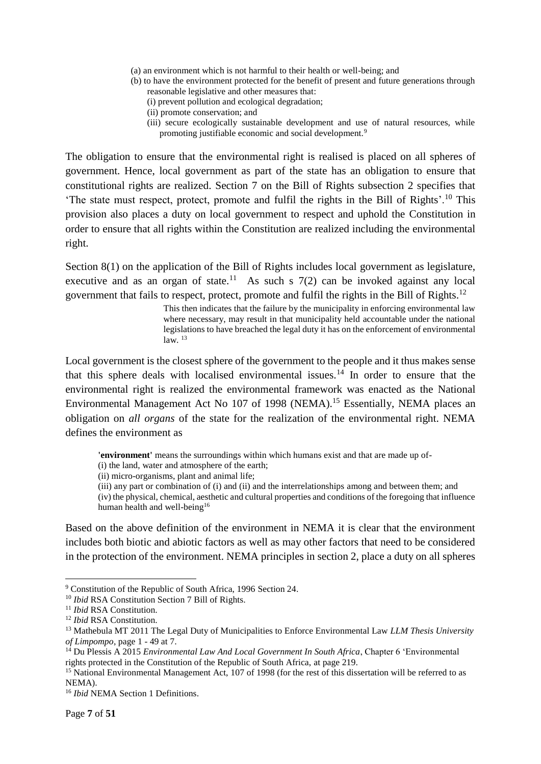- (a) an environment which is not harmful to their health or well-being; and
- (b) to have the environment protected for the benefit of present and future generations through reasonable legislative and other measures that:
	- (i) prevent pollution and ecological degradation;
	- (ii) promote conservation; and
	- (iii) secure ecologically sustainable development and use of natural resources, while promoting justifiable economic and social development.<sup>9</sup>

The obligation to ensure that the environmental right is realised is placed on all spheres of government. Hence, local government as part of the state has an obligation to ensure that constitutional rights are realized. Section 7 on the Bill of Rights subsection 2 specifies that 'The state must respect, protect, promote and fulfil the rights in the Bill of Rights'.<sup>10</sup> This provision also places a duty on local government to respect and uphold the Constitution in order to ensure that all rights within the Constitution are realized including the environmental right.

Section 8(1) on the application of the Bill of Rights includes local government as legislature, executive and as an organ of state.<sup>11</sup> As such s  $7(2)$  can be invoked against any local government that fails to respect, protect, promote and fulfil the rights in the Bill of Rights.<sup>12</sup>

> This then indicates that the failure by the municipality in enforcing environmental law where necessary, may result in that municipality held accountable under the national legislations to have breached the legal duty it has on the enforcement of environmental  $law<sup>13</sup>$

Local government is the closest sphere of the government to the people and it thus makes sense that this sphere deals with localised environmental issues.<sup>14</sup> In order to ensure that the environmental right is realized the environmental framework was enacted as the National Environmental Management Act No 107 of 1998 (NEMA).<sup>15</sup> Essentially, NEMA places an obligation on *all organs* of the state for the realization of the environmental right. NEMA defines the environment as

**'environment'** means the surroundings within which humans exist and that are made up of-

(i) the land, water and atmosphere of the earth;

(ii) micro-organisms, plant and animal life;

(iii) any part or combination of (i) and (ii) and the interrelationships among and between them; and

(iv) the physical, chemical, aesthetic and cultural properties and conditions of the foregoing that influence human health and well-being<sup>16</sup>

Based on the above definition of the environment in NEMA it is clear that the environment includes both biotic and abiotic factors as well as may other factors that need to be considered in the protection of the environment. NEMA principles in section 2, place a duty on all spheres

<sup>9</sup> Constitution of the Republic of South Africa, 1996 Section 24.

<sup>&</sup>lt;sup>10</sup> *Ibid* RSA Constitution Section 7 Bill of Rights.

<sup>11</sup> *Ibid* RSA Constitution.

<sup>12</sup> *Ibid* RSA Constitution.

<sup>13</sup> Mathebula MT 2011 The Legal Duty of Municipalities to Enforce Environmental Law *LLM Thesis University of Limpompo*, page 1 - 49 at 7.

<sup>14</sup> Du Plessis A 2015 *Environmental Law And Local Government In South Africa*, Chapter 6 'Environmental rights protected in the Constitution of the Republic of South Africa, at page 219.

<sup>&</sup>lt;sup>15</sup> National Environmental Management Act, 107 of 1998 (for the rest of this dissertation will be referred to as NEMA).

<sup>16</sup> *Ibid* NEMA Section 1 Definitions.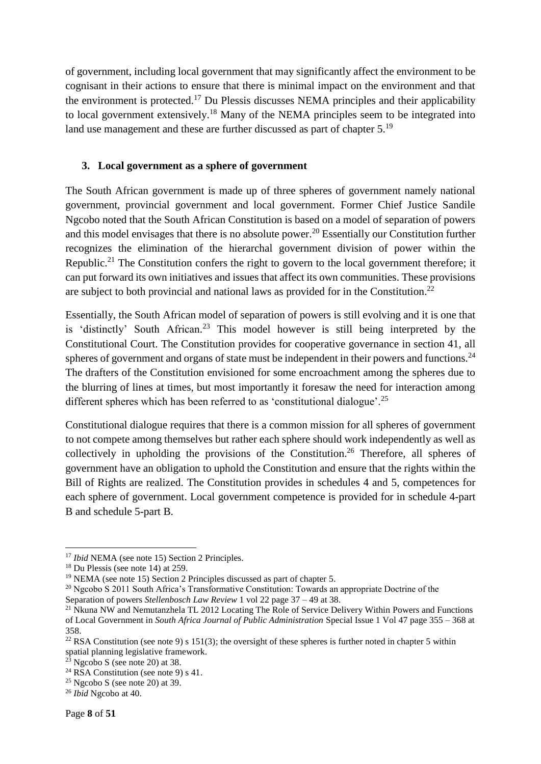of government, including local government that may significantly affect the environment to be cognisant in their actions to ensure that there is minimal impact on the environment and that the environment is protected.<sup>17</sup> Du Plessis discusses NEMA principles and their applicability to local government extensively.<sup>18</sup> Many of the NEMA principles seem to be integrated into land use management and these are further discussed as part of chapter 5.<sup>19</sup>

#### <span id="page-7-0"></span>**3. Local government as a sphere of government**

The South African government is made up of three spheres of government namely national government, provincial government and local government. Former Chief Justice Sandile Ngcobo noted that the South African Constitution is based on a model of separation of powers and this model envisages that there is no absolute power. <sup>20</sup> Essentially our Constitution further recognizes the elimination of the hierarchal government division of power within the Republic.<sup>21</sup> The Constitution confers the right to govern to the local government therefore; it can put forward its own initiatives and issues that affect its own communities. These provisions are subject to both provincial and national laws as provided for in the Constitution.<sup>22</sup>

Essentially, the South African model of separation of powers is still evolving and it is one that is 'distinctly' South African.<sup>23</sup> This model however is still being interpreted by the Constitutional Court. The Constitution provides for cooperative governance in section 41, all spheres of government and organs of state must be independent in their powers and functions.  $24$ The drafters of the Constitution envisioned for some encroachment among the spheres due to the blurring of lines at times, but most importantly it foresaw the need for interaction among different spheres which has been referred to as 'constitutional dialogue'.<sup>25</sup>

Constitutional dialogue requires that there is a common mission for all spheres of government to not compete among themselves but rather each sphere should work independently as well as collectively in upholding the provisions of the Constitution.<sup>26</sup> Therefore, all spheres of government have an obligation to uphold the Constitution and ensure that the rights within the Bill of Rights are realized. The Constitution provides in schedules 4 and 5, competences for each sphere of government. Local government competence is provided for in schedule 4-part B and schedule 5-part B.

<sup>&</sup>lt;sup>17</sup> *Ibid* NEMA (see note 15) Section 2 Principles.

<sup>18</sup> Du Plessis (see note 14) at 259.

<sup>19</sup> NEMA (see note 15) Section 2 Principles discussed as part of chapter 5.

<sup>&</sup>lt;sup>20</sup> Ngcobo S 2011 South Africa's Transformative Constitution: Towards an appropriate Doctrine of the

Separation of powers *Stellenbosch Law Review* 1 vol 22 page 37 – 49 at 38.

<sup>&</sup>lt;sup>21</sup> Nkuna NW and Nemutanzhela TL 2012 Locating The Role of Service Delivery Within Powers and Functions of Local Government in *South Africa Journal of Public Administration* Special Issue 1 Vol 47 page 355 – 368 at 358.

<sup>&</sup>lt;sup>22</sup> RSA Constitution (see note 9) s 151(3); the oversight of these spheres is further noted in chapter 5 within spatial planning legislative framework.

 $2\overline{3}$  Ngcobo S (see note 20) at 38.

<sup>&</sup>lt;sup>24</sup> RSA Constitution (see note 9) s 41.

 $25$  Ngcobo S (see note 20) at 39.

<sup>26</sup> *Ibid* Ngcobo at 40.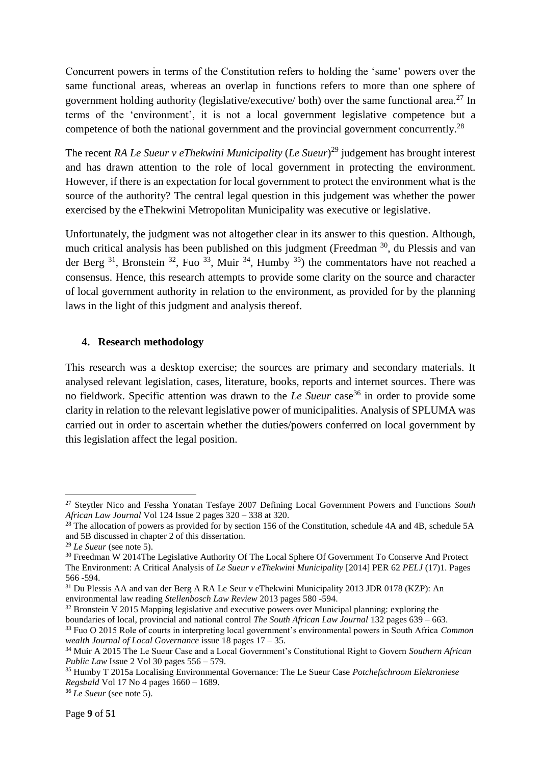Concurrent powers in terms of the Constitution refers to holding the 'same' powers over the same functional areas, whereas an overlap in functions refers to more than one sphere of government holding authority (legislative/executive/ both) over the same functional area.<sup>27</sup> In terms of the 'environment', it is not a local government legislative competence but a competence of both the national government and the provincial government concurrently.<sup>28</sup>

The recent *RA Le Sueur v eThekwini Municipality* (*Le Sueur*) <sup>29</sup> judgement has brought interest and has drawn attention to the role of local government in protecting the environment. However, if there is an expectation for local government to protect the environment what is the source of the authority? The central legal question in this judgement was whether the power exercised by the eThekwini Metropolitan Municipality was executive or legislative.

Unfortunately, the judgment was not altogether clear in its answer to this question. Although, much critical analysis has been published on this judgment (Freedman <sup>30</sup>, du Plessis and van der Berg  $31$ , Bronstein  $32$ , Fuo  $33$ , Muir  $34$ , Humby  $35$ ) the commentators have not reached a consensus. Hence, this research attempts to provide some clarity on the source and character of local government authority in relation to the environment, as provided for by the planning laws in the light of this judgment and analysis thereof.

#### <span id="page-8-0"></span>**4. Research methodology**

This research was a desktop exercise; the sources are primary and secondary materials. It analysed relevant legislation, cases, literature, books, reports and internet sources. There was no fieldwork. Specific attention was drawn to the *Le Sueur* case<sup>36</sup> in order to provide some clarity in relation to the relevant legislative power of municipalities. Analysis of SPLUMA was carried out in order to ascertain whether the duties/powers conferred on local government by this legislation affect the legal position.

 $\overline{a}$ 

<sup>27</sup> Steytler Nico and Fessha Yonatan Tesfaye 2007 Defining Local Government Powers and Functions *South African Law Journal* Vol 124 Issue 2 pages 320 – 338 at 320.

 $^{28}$  The allocation of powers as provided for by section 156 of the Constitution, schedule 4A and 4B, schedule 5A and 5B discussed in chapter 2 of this dissertation.

<sup>29</sup> *Le Sueur* (see note 5).

<sup>&</sup>lt;sup>30</sup> Freedman W 2014The Legislative Authority Of The Local Sphere Of Government To Conserve And Protect The Environment: A Critical Analysis of *Le Sueur v eThekwini Municipality* [2014] PER 62 *PELJ* (17)1. Pages 566 -594.

<sup>31</sup> Du Plessis AA and van der Berg A RA Le Seur v eThekwini Municipality 2013 JDR 0178 (KZP): An environmental law reading *Stellenbosch Law Review* 2013 pages 580 -594.

<sup>&</sup>lt;sup>32</sup> Bronstein V 2015 Mapping legislative and executive powers over Municipal planning: exploring the boundaries of local, provincial and national control *The South African Law Journal* 132 pages 639 – 663.

<sup>33</sup> Fuo O 2015 Role of courts in interpreting local government's environmental powers in South Africa *Common wealth Journal of Local Governance* issue 18 pages 17 – 35.

<sup>34</sup> Muir A 2015 The Le Sueur Case and a Local Government's Constitutional Right to Govern *Southern African Public Law* Issue 2 Vol 30 pages 556 – 579.

<sup>35</sup> Humby T 2015a Localising Environmental Governance: The Le Sueur Case *Potchefschroom Elektroniese Regsbald* Vol 17 No 4 pages 1660 – 1689.

<sup>36</sup> *Le Sueur* (see note 5).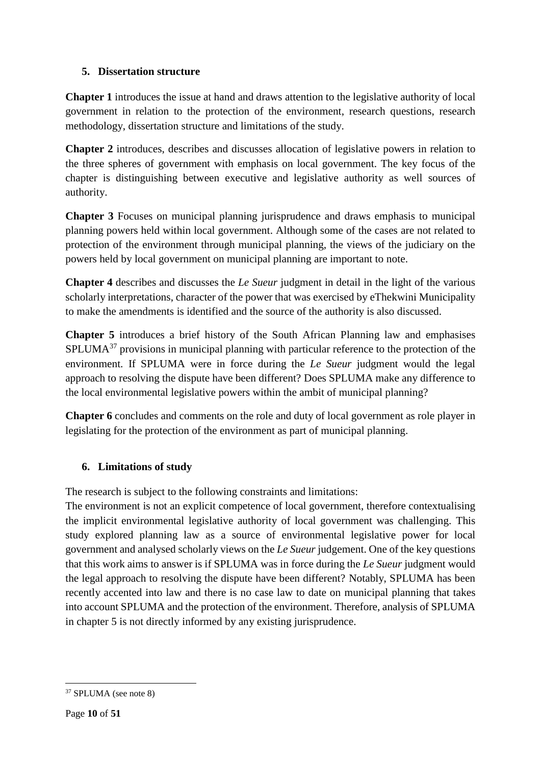#### <span id="page-9-0"></span>**5. Dissertation structure**

**Chapter 1** introduces the issue at hand and draws attention to the legislative authority of local government in relation to the protection of the environment, research questions, research methodology, dissertation structure and limitations of the study.

**Chapter 2** introduces, describes and discusses allocation of legislative powers in relation to the three spheres of government with emphasis on local government. The key focus of the chapter is distinguishing between executive and legislative authority as well sources of authority.

**Chapter 3** Focuses on municipal planning jurisprudence and draws emphasis to municipal planning powers held within local government. Although some of the cases are not related to protection of the environment through municipal planning, the views of the judiciary on the powers held by local government on municipal planning are important to note.

**Chapter 4** describes and discusses the *Le Sueur* judgment in detail in the light of the various scholarly interpretations, character of the power that was exercised by eThekwini Municipality to make the amendments is identified and the source of the authority is also discussed.

**Chapter 5** introduces a brief history of the South African Planning law and emphasises SPLUMA<sup>37</sup> provisions in municipal planning with particular reference to the protection of the environment. If SPLUMA were in force during the *Le Sueur* judgment would the legal approach to resolving the dispute have been different? Does SPLUMA make any difference to the local environmental legislative powers within the ambit of municipal planning?

**Chapter 6** concludes and comments on the role and duty of local government as role player in legislating for the protection of the environment as part of municipal planning.

#### <span id="page-9-1"></span>**6. Limitations of study**

The research is subject to the following constraints and limitations:

The environment is not an explicit competence of local government, therefore contextualising the implicit environmental legislative authority of local government was challenging. This study explored planning law as a source of environmental legislative power for local government and analysed scholarly views on the *Le Sueur* judgement. One of the key questions that this work aims to answer is if SPLUMA was in force during the *Le Sueur* judgment would the legal approach to resolving the dispute have been different? Notably, SPLUMA has been recently accented into law and there is no case law to date on municipal planning that takes into account SPLUMA and the protection of the environment. Therefore, analysis of SPLUMA in chapter 5 is not directly informed by any existing jurisprudence.

<sup>37</sup> SPLUMA (see note 8)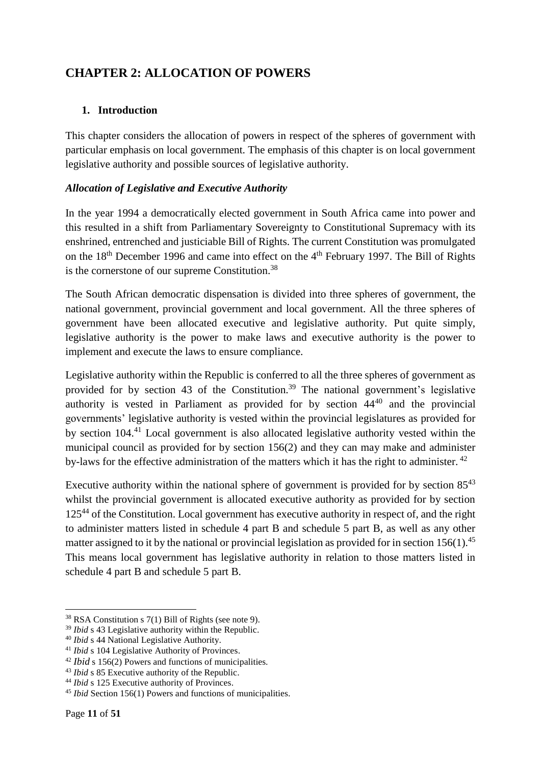# <span id="page-10-1"></span><span id="page-10-0"></span>**CHAPTER 2: ALLOCATION OF POWERS**

#### **1. Introduction**

This chapter considers the allocation of powers in respect of the spheres of government with particular emphasis on local government. The emphasis of this chapter is on local government legislative authority and possible sources of legislative authority.

#### <span id="page-10-2"></span>*Allocation of Legislative and Executive Authority*

In the year 1994 a democratically elected government in South Africa came into power and this resulted in a shift from Parliamentary Sovereignty to Constitutional Supremacy with its enshrined, entrenched and justiciable Bill of Rights. The current Constitution was promulgated on the  $18<sup>th</sup>$  December 1996 and came into effect on the  $4<sup>th</sup>$  February 1997. The Bill of Rights is the cornerstone of our supreme Constitution.<sup>38</sup>

The South African democratic dispensation is divided into three spheres of government, the national government, provincial government and local government. All the three spheres of government have been allocated executive and legislative authority. Put quite simply, legislative authority is the power to make laws and executive authority is the power to implement and execute the laws to ensure compliance.

Legislative authority within the Republic is conferred to all the three spheres of government as provided for by section 43 of the Constitution. <sup>39</sup> The national government's legislative authority is vested in Parliament as provided for by section  $44^{40}$  and the provincial governments' legislative authority is vested within the provincial legislatures as provided for by section 104.<sup>41</sup> Local government is also allocated legislative authority vested within the municipal council as provided for by section 156(2) and they can may make and administer by-laws for the effective administration of the matters which it has the right to administer.<sup>42</sup>

Executive authority within the national sphere of government is provided for by section  $85^{43}$ whilst the provincial government is allocated executive authority as provided for by section  $125<sup>44</sup>$  of the Constitution. Local government has executive authority in respect of, and the right to administer matters listed in schedule 4 part B and schedule 5 part B, as well as any other matter assigned to it by the national or provincial legislation as provided for in section 156(1).<sup>45</sup> This means local government has legislative authority in relation to those matters listed in schedule 4 part B and schedule 5 part B.

<sup>38</sup> RSA Constitution s 7(1) Bill of Rights (see note 9).

<sup>39</sup> *Ibid* s 43 Legislative authority within the Republic.

<sup>40</sup> *Ibid* s 44 National Legislative Authority.

<sup>41</sup> *Ibid* s 104 Legislative Authority of Provinces.

<sup>42</sup> *Ibid* s 156(2) Powers and functions of municipalities.

<sup>&</sup>lt;sup>43</sup> *Ibid* s 85 Executive authority of the Republic.

<sup>44</sup> *Ibid* s 125 Executive authority of Provinces.

<sup>45</sup> *Ibid* Section 156(1) Powers and functions of municipalities.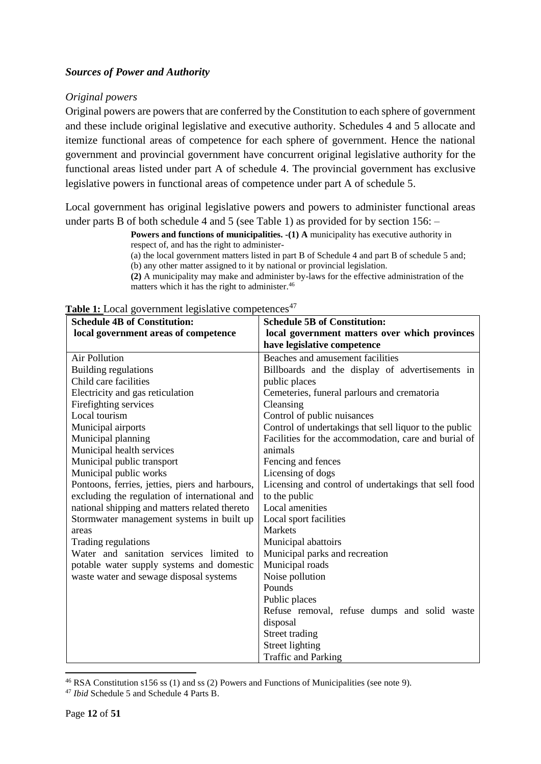#### <span id="page-11-0"></span>*Sources of Power and Authority*

#### <span id="page-11-1"></span>*Original powers*

Original powers are powers that are conferred by the Constitution to each sphere of government and these include original legislative and executive authority. Schedules 4 and 5 allocate and itemize functional areas of competence for each sphere of government. Hence the national government and provincial government have concurrent original legislative authority for the functional areas listed under part A of schedule 4. The provincial government has exclusive legislative powers in functional areas of competence under part A of schedule 5.

Local government has original legislative powers and powers to administer functional areas under parts B of both schedule 4 and 5 (see Table 1) as provided for by section 156: –

> **Powers and functions of municipalities.**  $-(1)$  **A** municipality has executive authority in respect of, and has the right to administer-

(a) the local government matters listed in part B of Schedule 4 and part B of schedule 5 and; (b) any other matter assigned to it by national or provincial legislation.

**(2)** A municipality may make and administer by-laws for the effective administration of the matters which it has the right to administer.<sup>46</sup>

| <b>Schedule 4B of Constitution:</b>             | <b>Schedule 5B of Constitution:</b>                    |  |
|-------------------------------------------------|--------------------------------------------------------|--|
| local government areas of competence            | local government matters over which provinces          |  |
|                                                 | have legislative competence                            |  |
| <b>Air Pollution</b>                            | Beaches and amusement facilities                       |  |
| <b>Building regulations</b>                     | Billboards and the display of advertisements in        |  |
| Child care facilities                           | public places                                          |  |
| Electricity and gas reticulation                | Cemeteries, funeral parlours and crematoria            |  |
| Firefighting services                           | Cleansing                                              |  |
| Local tourism                                   | Control of public nuisances                            |  |
| Municipal airports                              | Control of undertakings that sell liquor to the public |  |
| Municipal planning                              | Facilities for the accommodation, care and burial of   |  |
| Municipal health services                       | animals                                                |  |
| Municipal public transport                      | Fencing and fences                                     |  |
| Municipal public works                          | Licensing of dogs                                      |  |
| Pontoons, ferries, jetties, piers and harbours, | Licensing and control of undertakings that sell food   |  |
| excluding the regulation of international and   | to the public                                          |  |
| national shipping and matters related thereto   | Local amenities                                        |  |
| Stormwater management systems in built up       | Local sport facilities                                 |  |
| areas                                           | <b>Markets</b>                                         |  |
| Trading regulations                             | Municipal abattoirs                                    |  |
| Water and sanitation services limited to        | Municipal parks and recreation                         |  |
| potable water supply systems and domestic       | Municipal roads                                        |  |
| waste water and sewage disposal systems         | Noise pollution                                        |  |
|                                                 | Pounds                                                 |  |
|                                                 | Public places                                          |  |
|                                                 | Refuse removal, refuse dumps and solid waste           |  |
|                                                 | disposal                                               |  |
|                                                 | Street trading                                         |  |
|                                                 | Street lighting                                        |  |
|                                                 | Traffic and Parking                                    |  |

Table 1: Local government legislative competences<sup>47</sup>

**<sup>.</sup>** <sup>46</sup> RSA Constitution s156 ss (1) and ss (2) Powers and Functions of Municipalities (see note 9).

<sup>47</sup> *Ibid* Schedule 5 and Schedule 4 Parts B.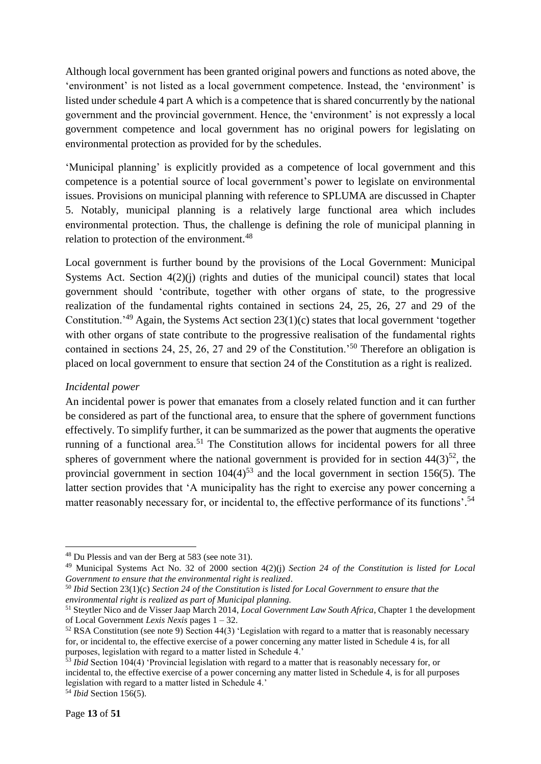Although local government has been granted original powers and functions as noted above, the 'environment' is not listed as a local government competence. Instead, the 'environment' is listed under schedule 4 part A which is a competence that is shared concurrently by the national government and the provincial government. Hence, the 'environment' is not expressly a local government competence and local government has no original powers for legislating on environmental protection as provided for by the schedules.

'Municipal planning' is explicitly provided as a competence of local government and this competence is a potential source of local government's power to legislate on environmental issues. Provisions on municipal planning with reference to SPLUMA are discussed in Chapter 5. Notably, municipal planning is a relatively large functional area which includes environmental protection. Thus, the challenge is defining the role of municipal planning in relation to protection of the environment.<sup>48</sup>

Local government is further bound by the provisions of the Local Government: Municipal Systems Act. Section  $4(2)(j)$  (rights and duties of the municipal council) states that local government should 'contribute, together with other organs of state, to the progressive realization of the fundamental rights contained in sections 24, 25, 26, 27 and 29 of the Constitution.'<sup>49</sup> Again, the Systems Act section 23(1)(c) states that local government 'together with other organs of state contribute to the progressive realisation of the fundamental rights contained in sections 24, 25, 26, 27 and 29 of the Constitution.'<sup>50</sup> Therefore an obligation is placed on local government to ensure that section 24 of the Constitution as a right is realized.

#### <span id="page-12-0"></span>*Incidental power*

An incidental power is power that emanates from a closely related function and it can further be considered as part of the functional area, to ensure that the sphere of government functions effectively. To simplify further, it can be summarized as the power that augments the operative running of a functional area.<sup>51</sup> The Constitution allows for incidental powers for all three spheres of government where the national government is provided for in section  $44(3)^{52}$ , the provincial government in section  $104(4)^{53}$  and the local government in section 156(5). The latter section provides that 'A municipality has the right to exercise any power concerning a matter reasonably necessary for, or incidental to, the effective performance of its functions'.<sup>54</sup>

<sup>48</sup> Du Plessis and van der Berg at 583 (see note 31).

<sup>49</sup> Municipal Systems Act No. 32 of 2000 section 4(2)(j) *Section 24 of the Constitution is listed for Local Government to ensure that the environmental right is realized*.

<sup>50</sup> *Ibid* Section 23(1)(c) *Section 24 of the Constitution is listed for Local Government to ensure that the environmental right is realized as part of Municipal planning.*

<sup>51</sup> Steytler Nico and de Visser Jaap March 2014, *Local Government Law South Africa*, Chapter 1 the development of Local Government *Lexis Nexis* pages 1 – 32.

<sup>&</sup>lt;sup>52</sup> RSA Constitution (see note 9) Section 44(3) 'Legislation with regard to a matter that is reasonably necessary for, or incidental to, the effective exercise of a power concerning any matter listed in Schedule 4 is, for all purposes, legislation with regard to a matter listed in Schedule 4.'

<sup>&</sup>lt;sup>53</sup> *Ibid* Section 104(4) 'Provincial legislation with regard to a matter that is reasonably necessary for, or incidental to, the effective exercise of a power concerning any matter listed in Schedule 4, is for all purposes legislation with regard to a matter listed in Schedule 4.'

<sup>54</sup> *Ibid* Section 156(5).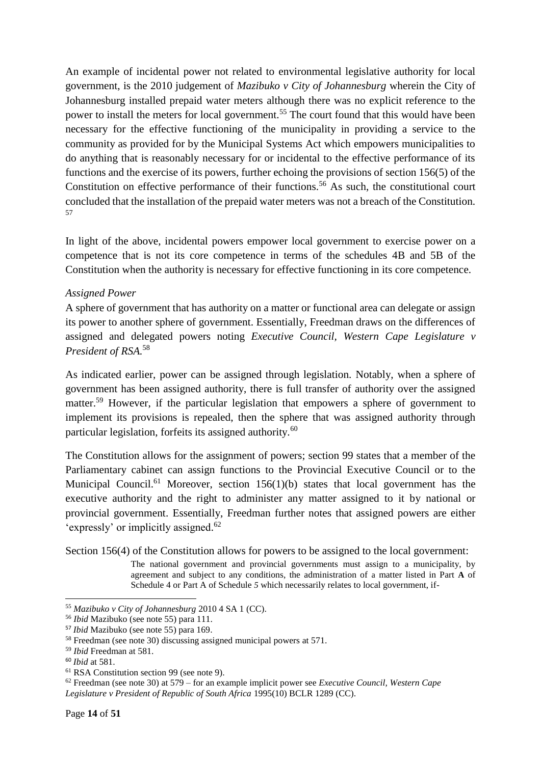An example of incidental power not related to environmental legislative authority for local government, is the 2010 judgement of *Mazibuko v City of Johannesburg* wherein the City of Johannesburg installed prepaid water meters although there was no explicit reference to the power to install the meters for local government.<sup>55</sup> The court found that this would have been necessary for the effective functioning of the municipality in providing a service to the community as provided for by the Municipal Systems Act which empowers municipalities to do anything that is reasonably necessary for or incidental to the effective performance of its functions and the exercise of its powers, further echoing the provisions of section 156(5) of the Constitution on effective performance of their functions.<sup>56</sup> As such, the constitutional court concluded that the installation of the prepaid water meters was not a breach of the Constitution. 57

In light of the above, incidental powers empower local government to exercise power on a competence that is not its core competence in terms of the schedules 4B and 5B of the Constitution when the authority is necessary for effective functioning in its core competence.

#### <span id="page-13-0"></span>*Assigned Power*

A sphere of government that has authority on a matter or functional area can delegate or assign its power to another sphere of government. Essentially, Freedman draws on the differences of assigned and delegated powers noting *Executive Council, Western Cape Legislature v President of RSA.*<sup>58</sup>

As indicated earlier, power can be assigned through legislation. Notably, when a sphere of government has been assigned authority, there is full transfer of authority over the assigned matter.<sup>59</sup> However, if the particular legislation that empowers a sphere of government to implement its provisions is repealed, then the sphere that was assigned authority through particular legislation, forfeits its assigned authority.<sup>60</sup>

The Constitution allows for the assignment of powers; section 99 states that a member of the Parliamentary cabinet can assign functions to the Provincial Executive Council or to the Municipal Council.<sup>61</sup> Moreover, section  $156(1)(b)$  states that local government has the executive authority and the right to administer any matter assigned to it by national or provincial government. Essentially, Freedman further notes that assigned powers are either 'expressly' or implicitly assigned.<sup>62</sup>

Section 156(4) of the Constitution allows for powers to be assigned to the local government:

The national government and provincial governments must assign to a municipality, by agreement and subject to any conditions, the administration of a matter listed in Part **A** of Schedule 4 or Part A of Schedule *5* which necessarily relates to local government, if-

<sup>55</sup> *Mazibuko v City of Johannesburg* 2010 4 SA 1 (CC).

<sup>56</sup> *Ibid* Mazibuko (see note 55) para 111.

<sup>57</sup> *Ibid* Mazibuko (see note 55) para 169.

<sup>58</sup> Freedman (see note 30) discussing assigned municipal powers at 571.

<sup>59</sup> *Ibid* Freedman at 581.

<sup>60</sup> *Ibid* at 581.

<sup>61</sup> RSA Constitution section 99 (see note 9).

<sup>62</sup> Freedman (see note 30) at 579 – for an example implicit power see *Executive Council, Western Cape Legislature v President of Republic of South Africa* 1995(10) BCLR 1289 (CC).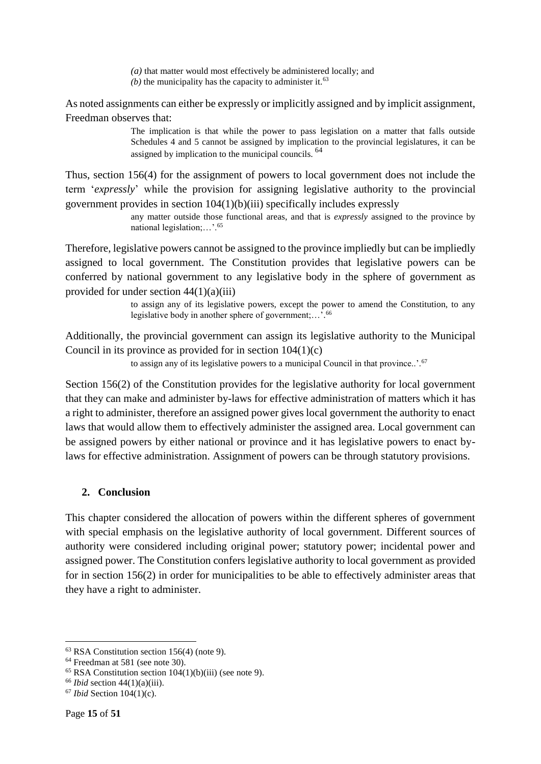*(a)* that matter would most effectively be administered locally; and  $(b)$  the municipality has the capacity to administer it.<sup>63</sup>

As noted assignments can either be expressly or implicitly assigned and by implicit assignment, Freedman observes that:

> The implication is that while the power to pass legislation on a matter that falls outside Schedules 4 and 5 cannot be assigned by implication to the provincial legislatures, it can be assigned by implication to the municipal councils. <sup>64</sup>

Thus, section 156(4) for the assignment of powers to local government does not include the term '*expressly*' while the provision for assigning legislative authority to the provincial government provides in section 104(1)(b)(iii) specifically includes expressly

> any matter outside those functional areas, and that is *expressly* assigned to the province by national legislation;…'.<sup>65</sup>

Therefore, legislative powers cannot be assigned to the province impliedly but can be impliedly assigned to local government. The Constitution provides that legislative powers can be conferred by national government to any legislative body in the sphere of government as provided for under section  $44(1)(a)(iii)$ 

> to assign any of its legislative powers, except the power to amend the Constitution, to any legislative body in another sphere of government;…'. 66

Additionally, the provincial government can assign its legislative authority to the Municipal Council in its province as provided for in section 104(1)(c)

to assign any of its legislative powers to a municipal Council in that province..'.<sup>67</sup>

Section 156(2) of the Constitution provides for the legislative authority for local government that they can make and administer by-laws for effective administration of matters which it has a right to administer, therefore an assigned power gives local government the authority to enact laws that would allow them to effectively administer the assigned area. Local government can be assigned powers by either national or province and it has legislative powers to enact bylaws for effective administration. Assignment of powers can be through statutory provisions.

#### <span id="page-14-0"></span>**2. Conclusion**

This chapter considered the allocation of powers within the different spheres of government with special emphasis on the legislative authority of local government. Different sources of authority were considered including original power; statutory power; incidental power and assigned power. The Constitution confers legislative authority to local government as provided for in section 156(2) in order for municipalities to be able to effectively administer areas that they have a right to administer.

 $63$  RSA Constitution section 156(4) (note 9).

<sup>64</sup> Freedman at 581 (see note 30).

 $65$  RSA Constitution section  $104(1)(b)(iii)$  (see note 9).

<sup>66</sup> *Ibid* section 44(1)(a)(iii).

<sup>67</sup> *Ibid* Section 104(1)(c).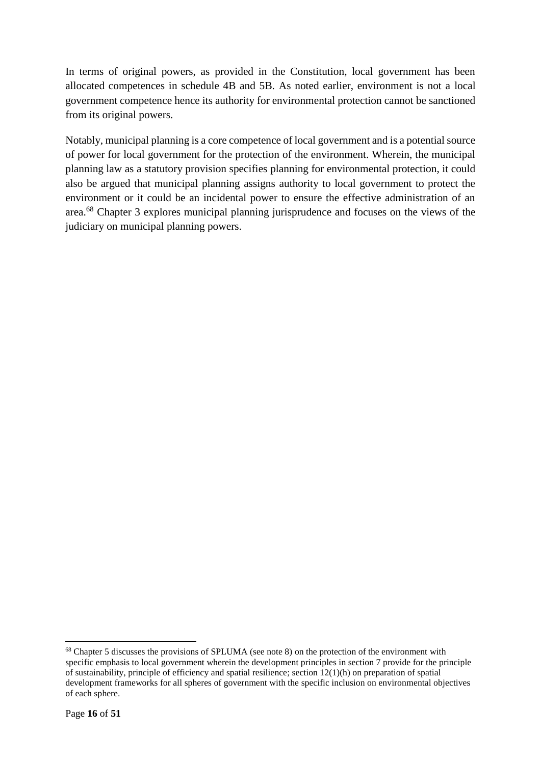In terms of original powers, as provided in the Constitution, local government has been allocated competences in schedule 4B and 5B. As noted earlier, environment is not a local government competence hence its authority for environmental protection cannot be sanctioned from its original powers.

Notably, municipal planning is a core competence of local government and is a potential source of power for local government for the protection of the environment. Wherein, the municipal planning law as a statutory provision specifies planning for environmental protection, it could also be argued that municipal planning assigns authority to local government to protect the environment or it could be an incidental power to ensure the effective administration of an area.<sup>68</sup> Chapter 3 explores municipal planning jurisprudence and focuses on the views of the judiciary on municipal planning powers.

<sup>68</sup> Chapter 5 discusses the provisions of SPLUMA (see note 8) on the protection of the environment with specific emphasis to local government wherein the development principles in section 7 provide for the principle of sustainability, principle of efficiency and spatial resilience; section 12(1)(h) on preparation of spatial development frameworks for all spheres of government with the specific inclusion on environmental objectives of each sphere.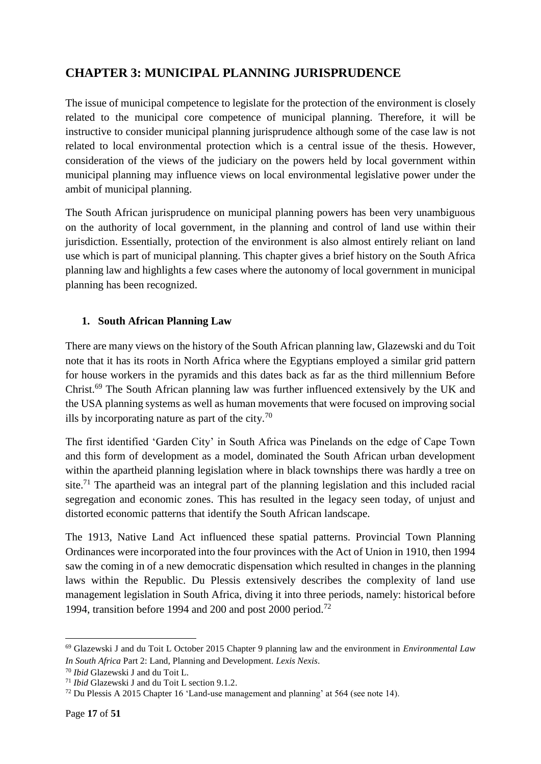## <span id="page-16-0"></span>**CHAPTER 3: MUNICIPAL PLANNING JURISPRUDENCE**

The issue of municipal competence to legislate for the protection of the environment is closely related to the municipal core competence of municipal planning. Therefore, it will be instructive to consider municipal planning jurisprudence although some of the case law is not related to local environmental protection which is a central issue of the thesis. However, consideration of the views of the judiciary on the powers held by local government within municipal planning may influence views on local environmental legislative power under the ambit of municipal planning.

The South African jurisprudence on municipal planning powers has been very unambiguous on the authority of local government, in the planning and control of land use within their jurisdiction. Essentially, protection of the environment is also almost entirely reliant on land use which is part of municipal planning. This chapter gives a brief history on the South Africa planning law and highlights a few cases where the autonomy of local government in municipal planning has been recognized.

#### <span id="page-16-1"></span>**1. South African Planning Law**

There are many views on the history of the South African planning law, Glazewski and du Toit note that it has its roots in North Africa where the Egyptians employed a similar grid pattern for house workers in the pyramids and this dates back as far as the third millennium Before Christ.<sup>69</sup> The South African planning law was further influenced extensively by the UK and the USA planning systems as well as human movements that were focused on improving social ills by incorporating nature as part of the city. $70$ 

The first identified 'Garden City' in South Africa was Pinelands on the edge of Cape Town and this form of development as a model, dominated the South African urban development within the apartheid planning legislation where in black townships there was hardly a tree on site.<sup>71</sup> The apartheid was an integral part of the planning legislation and this included racial segregation and economic zones. This has resulted in the legacy seen today, of unjust and distorted economic patterns that identify the South African landscape.

The 1913, Native Land Act influenced these spatial patterns. Provincial Town Planning Ordinances were incorporated into the four provinces with the Act of Union in 1910, then 1994 saw the coming in of a new democratic dispensation which resulted in changes in the planning laws within the Republic. Du Plessis extensively describes the complexity of land use management legislation in South Africa, diving it into three periods, namely: historical before 1994, transition before 1994 and 200 and post 2000 period.<sup>72</sup>

**<sup>.</sup>** <sup>69</sup> Glazewski J and du Toit L October 2015 Chapter 9 planning law and the environment in *Environmental Law In South Africa* Part 2: Land, Planning and Development. *Lexis Nexis*.

<sup>70</sup> *Ibid* Glazewski J and du Toit L.

<sup>71</sup> *Ibid* Glazewski J and du Toit L section 9.1.2.

<sup>72</sup> Du Plessis A 2015 Chapter 16 'Land-use management and planning' at 564 (see note 14).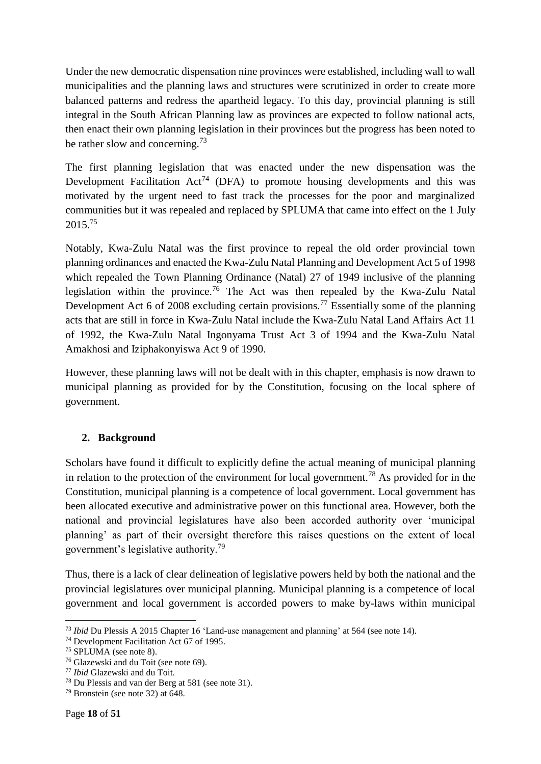Under the new democratic dispensation nine provinces were established, including wall to wall municipalities and the planning laws and structures were scrutinized in order to create more balanced patterns and redress the apartheid legacy. To this day, provincial planning is still integral in the South African Planning law as provinces are expected to follow national acts, then enact their own planning legislation in their provinces but the progress has been noted to be rather slow and concerning.<sup>73</sup>

The first planning legislation that was enacted under the new dispensation was the Development Facilitation  $Act^{74}$  (DFA) to promote housing developments and this was motivated by the urgent need to fast track the processes for the poor and marginalized communities but it was repealed and replaced by SPLUMA that came into effect on the 1 July 2015.<sup>75</sup>

Notably, Kwa-Zulu Natal was the first province to repeal the old order provincial town planning ordinances and enacted the Kwa-Zulu Natal Planning and Development Act 5 of 1998 which repealed the Town Planning Ordinance (Natal) 27 of 1949 inclusive of the planning legislation within the province.<sup>76</sup> The Act was then repealed by the Kwa-Zulu Natal Development Act 6 of 2008 excluding certain provisions.<sup>77</sup> Essentially some of the planning acts that are still in force in Kwa-Zulu Natal include the Kwa-Zulu Natal Land Affairs Act 11 of 1992, the Kwa-Zulu Natal Ingonyama Trust Act 3 of 1994 and the Kwa-Zulu Natal Amakhosi and Iziphakonyiswa Act 9 of 1990.

However, these planning laws will not be dealt with in this chapter, emphasis is now drawn to municipal planning as provided for by the Constitution, focusing on the local sphere of government.

#### <span id="page-17-0"></span>**2. Background**

Scholars have found it difficult to explicitly define the actual meaning of municipal planning in relation to the protection of the environment for local government.<sup>78</sup> As provided for in the Constitution, municipal planning is a competence of local government. Local government has been allocated executive and administrative power on this functional area. However, both the national and provincial legislatures have also been accorded authority over 'municipal planning' as part of their oversight therefore this raises questions on the extent of local government's legislative authority.<sup>79</sup>

Thus, there is a lack of clear delineation of legislative powers held by both the national and the provincial legislatures over municipal planning. Municipal planning is a competence of local government and local government is accorded powers to make by-laws within municipal

**<sup>.</sup>** <sup>73</sup> *Ibid* Du Plessis A 2015 Chapter 16 'Land-use management and planning' at 564 (see note 14).

<sup>74</sup> Development Facilitation Act 67 of 1995.

<sup>75</sup> SPLUMA (see note 8).

<sup>76</sup> Glazewski and du Toit (see note 69).

<sup>77</sup> *Ibid* Glazewski and du Toit.

<sup>78</sup> Du Plessis and van der Berg at 581 (see note 31).

 $79$  Bronstein (see note 32) at 648.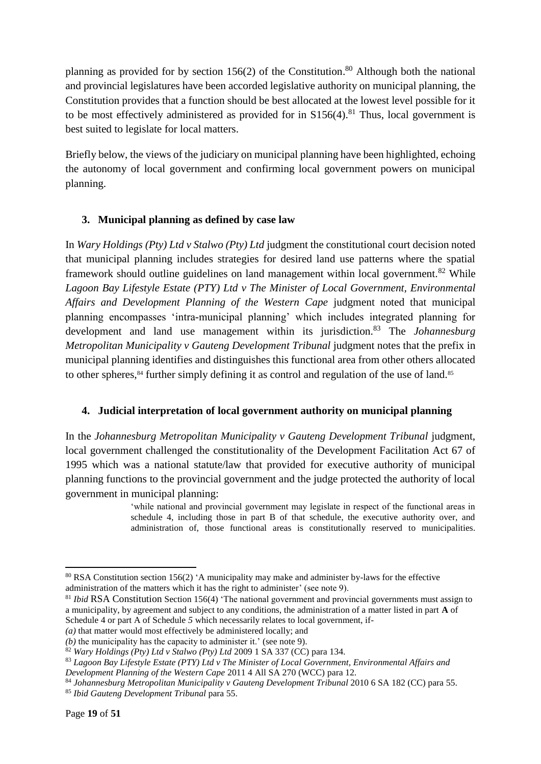planning as provided for by section 156(2) of the Constitution.<sup>80</sup> Although both the national and provincial legislatures have been accorded legislative authority on municipal planning, the Constitution provides that a function should be best allocated at the lowest level possible for it to be most effectively administered as provided for in  $S156(4)$ .<sup>81</sup> Thus, local government is best suited to legislate for local matters.

Briefly below, the views of the judiciary on municipal planning have been highlighted, echoing the autonomy of local government and confirming local government powers on municipal planning.

#### <span id="page-18-0"></span>**3. Municipal planning as defined by case law**

In *Wary Holdings (Pty) Ltd v Stalwo (Pty) Ltd* judgment the constitutional court decision noted that municipal planning includes strategies for desired land use patterns where the spatial framework should outline guidelines on land management within local government.<sup>82</sup> While *Lagoon Bay Lifestyle Estate (PTY) Ltd v The Minister of Local Government, Environmental Affairs and Development Planning of the Western Cape* judgment noted that municipal planning encompasses 'intra-municipal planning' which includes integrated planning for development and land use management within its jurisdiction.<sup>83</sup> The *Johannesburg Metropolitan Municipality v Gauteng Development Tribunal* judgment notes that the prefix in municipal planning identifies and distinguishes this functional area from other others allocated to other spheres,<sup>84</sup> further simply defining it as control and regulation of the use of land.<sup>85</sup>

#### <span id="page-18-1"></span>**4. Judicial interpretation of local government authority on municipal planning**

In the *Johannesburg Metropolitan Municipality v Gauteng Development Tribunal* judgment, local government challenged the constitutionality of the Development Facilitation Act 67 of 1995 which was a national statute/law that provided for executive authority of municipal planning functions to the provincial government and the judge protected the authority of local government in municipal planning:

'while national and provincial government may legislate in respect of the functional areas in schedule 4, including those in part B of that schedule, the executive authority over, and administration of, those functional areas is constitutionally reserved to municipalities.

**<sup>.</sup>** <sup>80</sup> RSA Constitution section 156(2) 'A municipality may make and administer by-laws for the effective administration of the matters which it has the right to administer' (see note 9).

<sup>81</sup> *Ibid* RSA Constitution Section 156(4) 'The national government and provincial governments must assign to a municipality, by agreement and subject to any conditions, the administration of a matter listed in part **A** of Schedule 4 or part A of Schedule 5 which necessarily relates to local government, if-

*<sup>(</sup>a)* that matter would most effectively be administered locally; and

*<sup>(</sup>b)* the municipality has the capacity to administer it.' (see note 9).

<sup>82</sup> *Wary Holdings (Pty) Ltd v Stalwo (Pty) Ltd* 2009 1 SA 337 (CC) para 134.

<sup>83</sup> *Lagoon Bay Lifestyle Estate (PTY) Ltd v The Minister of Local Government, Environmental Affairs and Development Planning of the Western Cape* 2011 4 All SA 270 (WCC) para 12.

<sup>84</sup> *Johannesburg Metropolitan Municipality v Gauteng Development Tribunal* 2010 6 SA 182 (CC) para 55.

<sup>85</sup> *Ibid Gauteng Development Tribunal* para 55.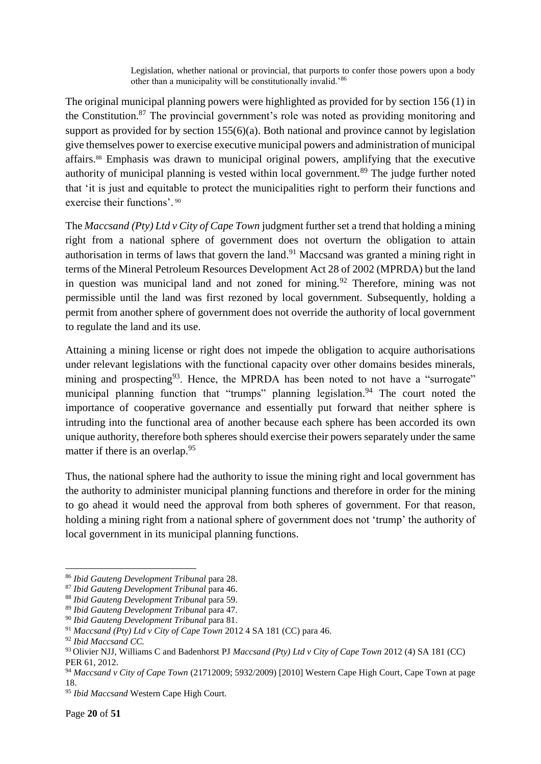Legislation, whether national or provincial, that purports to confer those powers upon a body other than a municipality will be constitutionally invalid.'<sup>86</sup>

The original municipal planning powers were highlighted as provided for by section 156 (1) in the Constitution.<sup>87</sup> The provincial government's role was noted as providing monitoring and support as provided for by section 155(6)(a). Both national and province cannot by legislation give themselves power to exercise executive municipal powers and administration of municipal affairs.<sup>88</sup> Emphasis was drawn to municipal original powers, amplifying that the executive authority of municipal planning is vested within local government.<sup>89</sup> The judge further noted that 'it is just and equitable to protect the municipalities right to perform their functions and exercise their functions'. <sup>90</sup>

The *Maccsand (Pty) Ltd v City of Cape Town* judgment further set a trend that holding a mining right from a national sphere of government does not overturn the obligation to attain authorisation in terms of laws that govern the land.<sup>91</sup> Maccsand was granted a mining right in terms of the Mineral Petroleum Resources Development Act 28 of 2002 (MPRDA) but the land in question was municipal land and not zoned for mining.<sup>92</sup> Therefore, mining was not permissible until the land was first rezoned by local government. Subsequently, holding a permit from another sphere of government does not override the authority of local government to regulate the land and its use.

Attaining a mining license or right does not impede the obligation to acquire authorisations under relevant legislations with the functional capacity over other domains besides minerals, mining and prospecting<sup>93</sup>. Hence, the MPRDA has been noted to not have a "surrogate" municipal planning function that "trumps" planning legislation.<sup>94</sup> The court noted the importance of cooperative governance and essentially put forward that neither sphere is intruding into the functional area of another because each sphere has been accorded its own unique authority, therefore both spheres should exercise their powers separately under the same matter if there is an overlap.<sup>95</sup>

Thus, the national sphere had the authority to issue the mining right and local government has the authority to administer municipal planning functions and therefore in order for the mining to go ahead it would need the approval from both spheres of government. For that reason, holding a mining right from a national sphere of government does not 'trump' the authority of local government in its municipal planning functions.

1

<sup>86</sup> *Ibid Gauteng Development Tribunal* para 28.

<sup>87</sup> *Ibid Gauteng Development Tribunal* para 46.

<sup>88</sup> *Ibid Gauteng Development Tribunal* para 59.

<sup>89</sup> *Ibid Gauteng Development Tribunal* para 47.

<sup>90</sup> *Ibid Gauteng Development Tribunal* para 81.

<sup>91</sup> *Maccsand (Pty) Ltd v City of Cape Town* 2012 4 SA 181 (CC) para 46.

<sup>92</sup> *Ibid Maccsand CC.*

<sup>93</sup> Olivier NJJ, Williams C and Badenhorst PJ *Maccsand (Pty) Ltd v City of Cape Town* 2012 (4) SA 181 (CC) PER 61, 2012.

<sup>94</sup> *Maccsand v City of Cape Town* (21712009; 5932/2009) [2010] Western Cape High Court, Cape Town at page 18.

<sup>95</sup> *Ibid Maccsand* Western Cape High Court*.*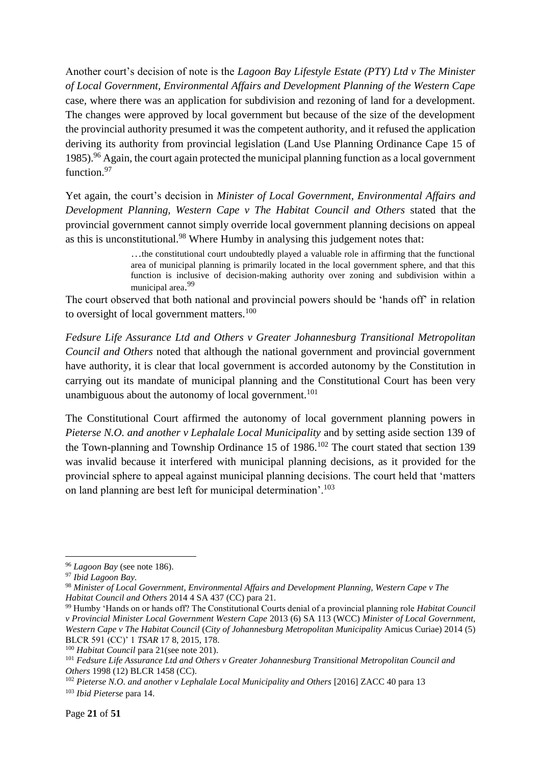Another court's decision of note is the *Lagoon Bay Lifestyle Estate (PTY) Ltd v The Minister of Local Government, Environmental Affairs and Development Planning of the Western Cape*  case*,* where there was an application for subdivision and rezoning of land for a development. The changes were approved by local government but because of the size of the development the provincial authority presumed it was the competent authority, and it refused the application deriving its authority from provincial legislation (Land Use Planning Ordinance Cape 15 of 1985).<sup>96</sup> Again, the court again protected the municipal planning function as a local government function.<sup>97</sup>

Yet again, the court's decision in *Minister of Local Government, Environmental Affairs and Development Planning, Western Cape v The Habitat Council and Others* stated that the provincial government cannot simply override local government planning decisions on appeal as this is unconstitutional.<sup>98</sup> Where Humby in analysing this judgement notes that:

> …the constitutional court undoubtedly played a valuable role in affirming that the functional area of municipal planning is primarily located in the local government sphere, and that this function is inclusive of decision-making authority over zoning and subdivision within a municipal area. 99

The court observed that both national and provincial powers should be 'hands off' in relation to oversight of local government matters.<sup>100</sup>

*Fedsure Life Assurance Ltd and Others v Greater Johannesburg Transitional Metropolitan Council and Others* noted that although the national government and provincial government have authority, it is clear that local government is accorded autonomy by the Constitution in carrying out its mandate of municipal planning and the Constitutional Court has been very unambiguous about the autonomy of local government.<sup>101</sup>

The Constitutional Court affirmed the autonomy of local government planning powers in *Pieterse N.O. and another v Lephalale Local Municipality* and by setting aside section 139 of the Town-planning and Township Ordinance 15 of 1986.<sup>102</sup> The court stated that section 139 was invalid because it interfered with municipal planning decisions, as it provided for the provincial sphere to appeal against municipal planning decisions. The court held that 'matters on land planning are best left for municipal determination'.<sup>103</sup>

<sup>96</sup> *Lagoon Bay* (see note 186).

<sup>97</sup> *Ibid Lagoon Bay.*

<sup>98</sup> *Minister of Local Government, Environmental Affairs and Development Planning, Western Cape v The Habitat Council and Others* 2014 4 SA 437 (CC) para 21.

<sup>99</sup> Humby 'Hands on or hands off? The Constitutional Courts denial of a provincial planning role *Habitat Council v Provincial Minister Local Government Western Cape* 2013 (6) SA 113 (WCC) *Minister of Local Government, Western Cape v The Habitat Council* (*City of Johannesburg Metropolitan Municipality* Amicus Curiae) 2014 (5) BLCR 591 (CC)' 1 *TSAR* 17 8, 2015, 178.

<sup>100</sup> *Habitat Council* para 21(see note 201).

<sup>101</sup> *Fedsure Life Assurance Ltd and Others v Greater Johannesburg Transitional Metropolitan Council and Others* 1998 (12) BLCR 1458 (CC).

<sup>&</sup>lt;sup>102</sup> Pieterse N.O. and another v Lephalale Local Municipality and Others [2016] ZACC 40 para 13

<sup>103</sup> *Ibid Pieterse* para 14.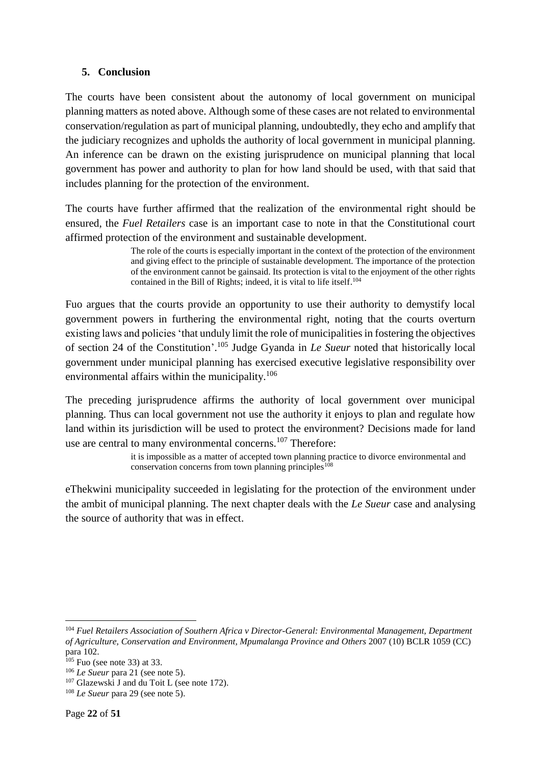#### **5. Conclusion**

The courts have been consistent about the autonomy of local government on municipal planning matters as noted above. Although some of these cases are not related to environmental conservation/regulation as part of municipal planning, undoubtedly, they echo and amplify that the judiciary recognizes and upholds the authority of local government in municipal planning. An inference can be drawn on the existing jurisprudence on municipal planning that local government has power and authority to plan for how land should be used, with that said that includes planning for the protection of the environment.

The courts have further affirmed that the realization of the environmental right should be ensured, the *Fuel Retailers* case is an important case to note in that the Constitutional court affirmed protection of the environment and sustainable development.

> The role of the courts is especially important in the context of the protection of the environment and giving effect to the principle of sustainable development. The importance of the protection of the environment cannot be gainsaid. Its protection is vital to the enjoyment of the other rights contained in the Bill of Rights; indeed, it is vital to life itself. 104

Fuo argues that the courts provide an opportunity to use their authority to demystify local government powers in furthering the environmental right, noting that the courts overturn existing laws and policies 'that unduly limit the role of municipalities in fostering the objectives of section 24 of the Constitution'. <sup>105</sup> Judge Gyanda in *Le Sueur* noted that historically local government under municipal planning has exercised executive legislative responsibility over environmental affairs within the municipality.<sup>106</sup>

The preceding jurisprudence affirms the authority of local government over municipal planning. Thus can local government not use the authority it enjoys to plan and regulate how land within its jurisdiction will be used to protect the environment? Decisions made for land use are central to many environmental concerns.<sup>107</sup> Therefore:

> it is impossible as a matter of accepted town planning practice to divorce environmental and conservation concerns from town planning principles<sup>108</sup>

eThekwini municipality succeeded in legislating for the protection of the environment under the ambit of municipal planning. The next chapter deals with the *Le Sueur* case and analysing the source of authority that was in effect.

**<sup>.</sup>** <sup>104</sup> *Fuel Retailers Association of Southern Africa v Director-General: Environmental Management, Department of Agriculture, Conservation and Environment, Mpumalanga Province and Others* [2007](http://epress.lib.uts.edu.au/journals/index.php/cjlg/article/view/4840/5207#CIT0020_4840) (10) BCLR 1059 (CC) para 102.

 $105$  Fuo (see note 33) at 33.

<sup>106</sup> *Le Sueur* para 21 (see note 5).

<sup>&</sup>lt;sup>107</sup> Glazewski J and du Toit L (see note 172).

<sup>108</sup> *Le Sueur* para 29 (see note 5).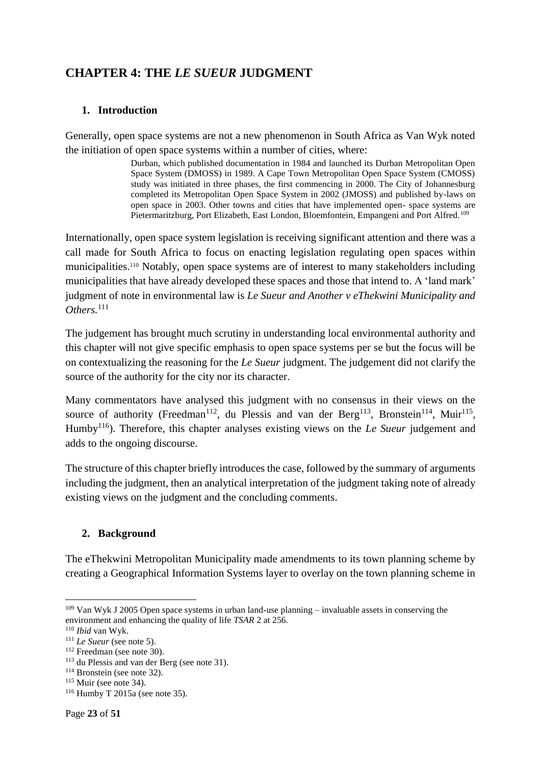# <span id="page-22-1"></span><span id="page-22-0"></span>**CHAPTER 4: THE** *LE SUEUR* **JUDGMENT**

#### **1. Introduction**

Generally, open space systems are not a new phenomenon in South Africa as Van Wyk noted the initiation of open space systems within a number of cities, where:

> Durban, which published documentation in 1984 and launched its Durban Metropolitan Open Space System (DMOSS) in 1989. A Cape Town Metropolitan Open Space System (CMOSS) study was initiated in three phases, the first commencing in 2000. The City of Johannesburg completed its Metropolitan Open Space System in 2002 (JMOSS) and published by-laws on open space in 2003. Other towns and cities that have implemented open- space systems are Pietermaritzburg, Port Elizabeth, East London, Bloemfontein, Empangeni and Port Alfred.<sup>109</sup>

Internationally, open space system legislation is receiving significant attention and there was a call made for South Africa to focus on enacting legislation regulating open spaces within municipalities.<sup>110</sup> Notably, open space systems are of interest to many stakeholders including municipalities that have already developed these spaces and those that intend to. A 'land mark' judgment of note in environmental law is *Le Sueur and Another v eThekwini Municipality and*  Others.<sup>111</sup>

The judgement has brought much scrutiny in understanding local environmental authority and this chapter will not give specific emphasis to open space systems per se but the focus will be on contextualizing the reasoning for the *Le Sueur* judgment. The judgement did not clarify the source of the authority for the city nor its character.

Many commentators have analysed this judgment with no consensus in their views on the source of authority (Freedman<sup>112</sup>, du Plessis and van der Berg<sup>113</sup>, Bronstein<sup>114</sup>, Muir<sup>115</sup>, Humby<sup>116</sup>). Therefore, this chapter analyses existing views on the *Le Sueur* judgement and adds to the ongoing discourse.

The structure of this chapter briefly introduces the case, followed by the summary of arguments including the judgment, then an analytical interpretation of the judgment taking note of already existing views on the judgment and the concluding comments.

#### <span id="page-22-2"></span>**2. Background**

The eThekwini Metropolitan Municipality made amendments to its town planning scheme by creating a Geographical Information Systems layer to overlay on the town planning scheme in

 $\overline{a}$ <sup>109</sup> Van Wyk J 2005 Open space systems in urban land-use planning – invaluable assets in conserving the environment and enhancing the quality of life *TSAR* 2 at 256.

<sup>110</sup> *Ibid* van Wyk.

<sup>&</sup>lt;sup>111</sup> *Le Sueur* (see note 5).

<sup>112</sup> Freedman (see note 30).

<sup>113</sup> du Plessis and van der Berg (see note 31).

<sup>114</sup> Bronstein (see note 32).

 $115$  Muir (see note 34).

<sup>116</sup> Humby T 2015a (see note 35).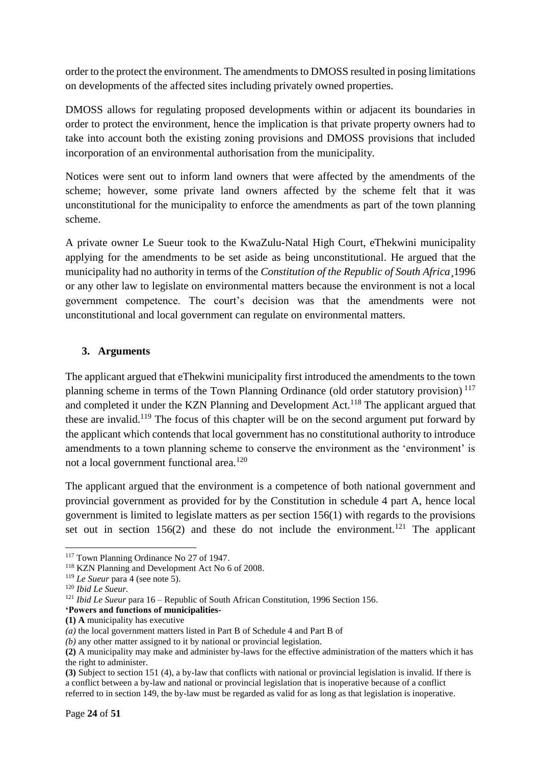order to the protect the environment. The amendments to DMOSS resulted in posing limitations on developments of the affected sites including privately owned properties.

DMOSS allows for regulating proposed developments within or adjacent its boundaries in order to protect the environment, hence the implication is that private property owners had to take into account both the existing zoning provisions and DMOSS provisions that included incorporation of an environmental authorisation from the municipality.

Notices were sent out to inform land owners that were affected by the amendments of the scheme; however, some private land owners affected by the scheme felt that it was unconstitutional for the municipality to enforce the amendments as part of the town planning scheme.

A private owner Le Sueur took to the KwaZulu-Natal High Court, eThekwini municipality applying for the amendments to be set aside as being unconstitutional. He argued that the municipality had no authority in terms of the *Constitution of the Republic of South Africa*¸1996 or any other law to legislate on environmental matters because the environment is not a local government competence. The court's decision was that the amendments were not unconstitutional and local government can regulate on environmental matters.

#### <span id="page-23-0"></span>**3. Arguments**

The applicant argued that eThekwini municipality first introduced the amendments to the town planning scheme in terms of the Town Planning Ordinance (old order statutory provision)<sup>117</sup> and completed it under the KZN Planning and Development Act.<sup>118</sup> The applicant argued that these are invalid.<sup>119</sup> The focus of this chapter will be on the second argument put forward by the applicant which contends that local government has no constitutional authority to introduce amendments to a town planning scheme to conserve the environment as the 'environment' is not a local government functional area.<sup>120</sup>

The applicant argued that the environment is a competence of both national government and provincial government as provided for by the Constitution in schedule 4 part A, hence local government is limited to legislate matters as per section 156(1) with regards to the provisions set out in section  $156(2)$  and these do not include the environment.<sup>121</sup> The applicant

**<sup>.</sup>** <sup>117</sup> Town Planning Ordinance No 27 of 1947.

<sup>&</sup>lt;sup>118</sup> KZN Planning and Development Act No 6 of 2008.

<sup>119</sup> *Le Sueur* para 4 (see note 5).

<sup>120</sup> *Ibid Le Sueur.*

<sup>121</sup> *Ibid Le Sueur* para 16 – Republic of South African Constitution, 1996 Section 156.

**<sup>&#</sup>x27;Powers and functions of municipalities-**

**<sup>(1)</sup> A** municipality has executive

*<sup>(</sup>a)* the local government matters listed in Part B of Schedule 4 and Part B of

*<sup>(</sup>b)* any other matter assigned to it by national or provincial legislation.

**<sup>(2)</sup>** A municipality may make and administer by-laws for the effective administration of the matters which it has the right to administer.

**<sup>(3)</sup>** Subject to section 151 (4), a by-law that conflicts with national or provincial legislation is invalid. If there is a conflict between a by-law and national or provincial legislation that is inoperative because of a conflict referred to in section 149, the by-law must be regarded as valid for as long as that legislation is inoperative.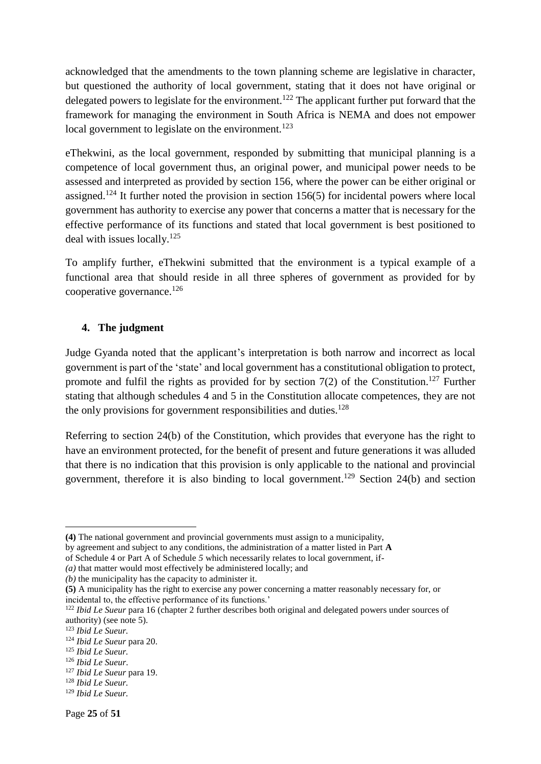acknowledged that the amendments to the town planning scheme are legislative in character, but questioned the authority of local government, stating that it does not have original or delegated powers to legislate for the environment.<sup>122</sup> The applicant further put forward that the framework for managing the environment in South Africa is NEMA and does not empower local government to legislate on the environment.<sup>123</sup>

eThekwini, as the local government, responded by submitting that municipal planning is a competence of local government thus, an original power, and municipal power needs to be assessed and interpreted as provided by section 156, where the power can be either original or assigned.<sup>124</sup> It further noted the provision in section 156(5) for incidental powers where local government has authority to exercise any power that concerns a matter that is necessary for the effective performance of its functions and stated that local government is best positioned to deal with issues locally.<sup>125</sup>

To amplify further, eThekwini submitted that the environment is a typical example of a functional area that should reside in all three spheres of government as provided for by cooperative governance.<sup>126</sup>

#### <span id="page-24-0"></span>**4. The judgment**

Judge Gyanda noted that the applicant's interpretation is both narrow and incorrect as local government is part of the 'state' and local government has a constitutional obligation to protect, promote and fulfil the rights as provided for by section  $7(2)$  of the Constitution.<sup>127</sup> Further stating that although schedules 4 and 5 in the Constitution allocate competences, they are not the only provisions for government responsibilities and duties.<sup>128</sup>

Referring to section 24(b) of the Constitution, which provides that everyone has the right to have an environment protected, for the benefit of present and future generations it was alluded that there is no indication that this provision is only applicable to the national and provincial government, therefore it is also binding to local government. <sup>129</sup> Section 24(b) and section

**<sup>(4)</sup>** The national government and provincial governments must assign to a municipality,

by agreement and subject to any conditions, the administration of a matter listed in Part **A**

of Schedule 4 or Part A of Schedule *5* which necessarily relates to local government, if-

*<sup>(</sup>a)* that matter would most effectively be administered locally; and

*<sup>(</sup>b)* the municipality has the capacity to administer it.

**<sup>(5)</sup>** A municipality has the right to exercise any power concerning a matter reasonably necessary for, or incidental to, the effective performance of its functions.'

<sup>&</sup>lt;sup>122</sup> *Ibid Le Sueur* para 16 (chapter 2 further describes both original and delegated powers under sources of authority) (see note 5).

<sup>123</sup> *Ibid Le Sueur.*

<sup>124</sup> *Ibid Le Sueur* para 20.

<sup>125</sup> *Ibid Le Sueur.*

<sup>126</sup> *Ibid Le Sueur*.

<sup>127</sup> *Ibid Le Sueur* para 19.

<sup>128</sup> *Ibid Le Sueur.*

<sup>129</sup> *Ibid Le Sueur.*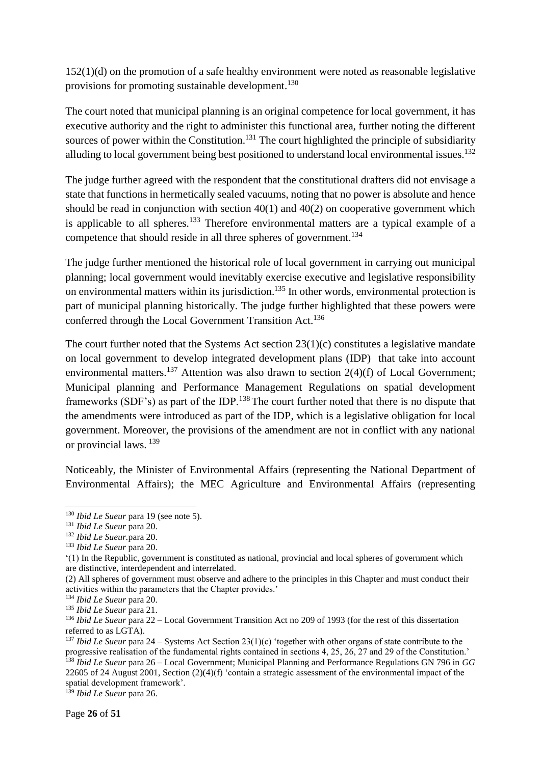152(1)(d) on the promotion of a safe healthy environment were noted as reasonable legislative provisions for promoting sustainable development.<sup>130</sup>

The court noted that municipal planning is an original competence for local government, it has executive authority and the right to administer this functional area, further noting the different sources of power within the Constitution.<sup>131</sup> The court highlighted the principle of subsidiarity alluding to local government being best positioned to understand local environmental issues.<sup>132</sup>

The judge further agreed with the respondent that the constitutional drafters did not envisage a state that functions in hermetically sealed vacuums, noting that no power is absolute and hence should be read in conjunction with section  $40(1)$  and  $40(2)$  on cooperative government which is applicable to all spheres.<sup>133</sup> Therefore environmental matters are a typical example of a competence that should reside in all three spheres of government.<sup>134</sup>

The judge further mentioned the historical role of local government in carrying out municipal planning; local government would inevitably exercise executive and legislative responsibility on environmental matters within its jurisdiction.<sup>135</sup> In other words, environmental protection is part of municipal planning historically. The judge further highlighted that these powers were conferred through the Local Government Transition Act.<sup>136</sup>

The court further noted that the Systems Act section 23(1)(c) constitutes a legislative mandate on local government to develop integrated development plans (IDP) that take into account environmental matters.<sup>137</sup> Attention was also drawn to section  $2(4)(f)$  of Local Government; Municipal planning and Performance Management Regulations on spatial development frameworks (SDF's) as part of the IDP.<sup>138</sup>The court further noted that there is no dispute that the amendments were introduced as part of the IDP, which is a legislative obligation for local government. Moreover, the provisions of the amendment are not in conflict with any national or provincial laws. <sup>139</sup>

Noticeably, the Minister of Environmental Affairs (representing the National Department of Environmental Affairs); the MEC Agriculture and Environmental Affairs (representing

1

<sup>130</sup> *Ibid Le Sueur* para 19 (see note 5).

<sup>131</sup> *Ibid Le Sueur* para 20.

<sup>132</sup> *Ibid Le Sueur.*para 20.

<sup>133</sup> *Ibid Le Sueur* para 20.

<sup>&#</sup>x27;(1) In the Republic, government is constituted as national, provincial and local spheres of government which are distinctive, interdependent and interrelated.

<sup>(2)</sup> All spheres of government must observe and adhere to the principles in this Chapter and must conduct their activities within the parameters that the Chapter provides.'

<sup>134</sup> *Ibid Le Sueur* para 20.

<sup>135</sup> *Ibid Le Sueur* para 21.

<sup>136</sup> *Ibid Le Sueur* para 22 – Local Government Transition Act no 209 of 1993 (for the rest of this dissertation referred to as LGTA).

<sup>137</sup> *Ibid Le Sueur* para 24 – Systems Act Section 23(1)(c) 'together with other organs of state contribute to the progressive realisation of the fundamental rights contained in sections 4, 25, 26, 27 and 29 of the Constitution.' <sup>138</sup> *Ibid Le Sueur* para 26 – Local Government; Municipal Planning and Performance Regulations GN 796 in *GG* 22605 of 24 August 2001, Section (2)(4)(f) 'contain a strategic assessment of the environmental impact of the spatial development framework'.

<sup>139</sup> *Ibid Le Sueur* para 26.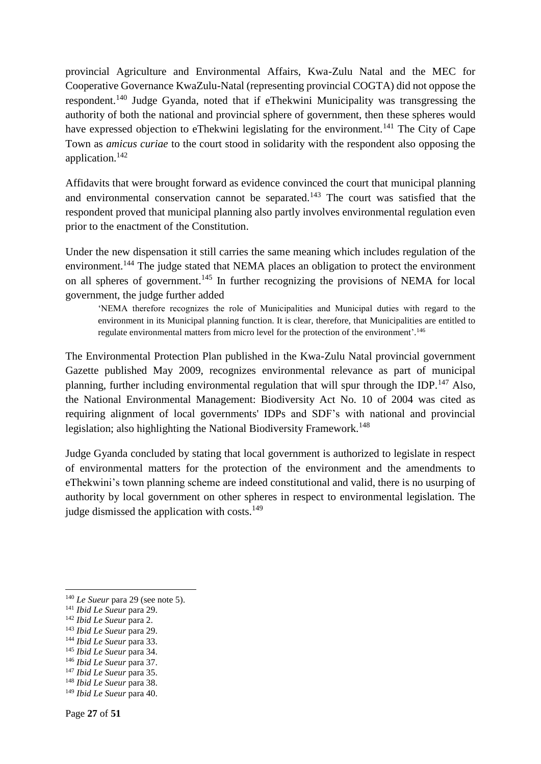provincial Agriculture and Environmental Affairs, Kwa-Zulu Natal and the MEC for Cooperative Governance KwaZulu-Natal (representing provincial COGTA) did not oppose the respondent.<sup>140</sup> Judge Gyanda, noted that if eThekwini Municipality was transgressing the authority of both the national and provincial sphere of government, then these spheres would have expressed objection to eThekwini legislating for the environment.<sup>141</sup> The City of Cape Town as *amicus curiae* to the court stood in solidarity with the respondent also opposing the application.<sup>142</sup>

Affidavits that were brought forward as evidence convinced the court that municipal planning and environmental conservation cannot be separated.<sup>143</sup> The court was satisfied that the respondent proved that municipal planning also partly involves environmental regulation even prior to the enactment of the Constitution.

Under the new dispensation it still carries the same meaning which includes regulation of the environment.<sup>144</sup> The judge stated that NEMA places an obligation to protect the environment on all spheres of government.<sup>145</sup> In further recognizing the provisions of NEMA for local government, the judge further added

'NEMA therefore recognizes the role of Municipalities and Municipal duties with regard to the environment in its Municipal planning function. It is clear, therefore, that Municipalities are entitled to regulate environmental matters from micro level for the protection of the environment'.<sup>146</sup>

The Environmental Protection Plan published in the Kwa-Zulu Natal provincial government Gazette published May 2009, recognizes environmental relevance as part of municipal planning, further including environmental regulation that will spur through the IDP.<sup>147</sup> Also, the National Environmental Management: Biodiversity Act No. 10 of 2004 was cited as requiring alignment of local governments' IDPs and SDF's with national and provincial legislation; also highlighting the National Biodiversity Framework.<sup>148</sup>

Judge Gyanda concluded by stating that local government is authorized to legislate in respect of environmental matters for the protection of the environment and the amendments to eThekwini's town planning scheme are indeed constitutional and valid, there is no usurping of authority by local government on other spheres in respect to environmental legislation. The judge dismissed the application with costs.<sup>149</sup>

**.** 

<sup>147</sup> *Ibid Le Sueur* para 35.

<sup>140</sup> *Le Sueur* para 29 (see note 5).

<sup>141</sup> *Ibid Le Sueur* para 29.

<sup>142</sup> *Ibid Le Sueur* para 2.

<sup>143</sup> *Ibid Le Sueur* para 29.

<sup>144</sup> *Ibid Le Sueur* para 33.

<sup>145</sup> *Ibid Le Sueur* para 34.

<sup>146</sup> *Ibid Le Sueur* para 37.

<sup>148</sup> *Ibid Le Sueur* para 38.

<sup>149</sup> *Ibid Le Sueur* para 40.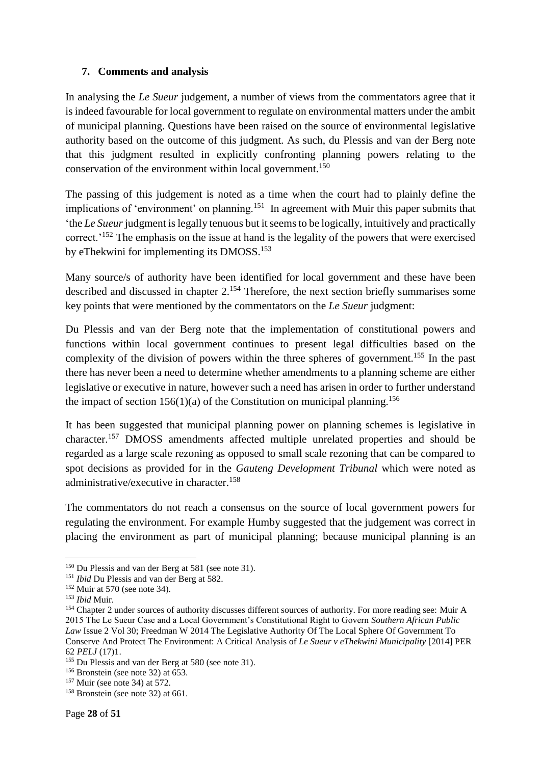#### <span id="page-27-0"></span>**7. Comments and analysis**

In analysing the *Le Sueur* judgement, a number of views from the commentators agree that it is indeed favourable for local government to regulate on environmental matters under the ambit of municipal planning. Questions have been raised on the source of environmental legislative authority based on the outcome of this judgment. As such, du Plessis and van der Berg note that this judgment resulted in explicitly confronting planning powers relating to the conservation of the environment within local government.<sup>150</sup>

The passing of this judgement is noted as a time when the court had to plainly define the implications of 'environment' on planning.<sup>151</sup> In agreement with Muir this paper submits that 'the *Le Sueur* judgment is legally tenuous but it seems to be logically, intuitively and practically correct.<sup>'152</sup> The emphasis on the issue at hand is the legality of the powers that were exercised by eThekwini for implementing its DMOSS.<sup>153</sup>

Many source/s of authority have been identified for local government and these have been described and discussed in chapter  $2^{154}$  Therefore, the next section briefly summarises some key points that were mentioned by the commentators on the *Le Sueur* judgment:

Du Plessis and van der Berg note that the implementation of constitutional powers and functions within local government continues to present legal difficulties based on the complexity of the division of powers within the three spheres of government.<sup>155</sup> In the past there has never been a need to determine whether amendments to a planning scheme are either legislative or executive in nature, however such a need has arisen in order to further understand the impact of section  $156(1)(a)$  of the Constitution on municipal planning.<sup>156</sup>

It has been suggested that municipal planning power on planning schemes is legislative in character. <sup>157</sup> DMOSS amendments affected multiple unrelated properties and should be regarded as a large scale rezoning as opposed to small scale rezoning that can be compared to spot decisions as provided for in the *Gauteng Development Tribunal* which were noted as administrative/executive in character.<sup>158</sup>

The commentators do not reach a consensus on the source of local government powers for regulating the environment. For example Humby suggested that the judgement was correct in placing the environment as part of municipal planning; because municipal planning is an

 $\overline{a}$ 

<sup>150</sup> Du Plessis and van der Berg at 581 (see note 31).

<sup>151</sup> *Ibid* Du Plessis and van der Berg at 582.

<sup>152</sup> Muir at 570 (see note 34).

<sup>153</sup> *Ibid* Muir.

<sup>&</sup>lt;sup>154</sup> Chapter 2 under sources of authority discusses different sources of authority. For more reading see: Muir A 2015 The Le Sueur Case and a Local Government's Constitutional Right to Govern *Southern African Public Law* Issue 2 Vol 30; Freedman W 2014 The Legislative Authority Of The Local Sphere Of Government To Conserve And Protect The Environment: A Critical Analysis of *Le Sueur v eThekwini Municipality* [2014] PER 62 *PELJ* (17)1.

<sup>&</sup>lt;sup>155</sup> Du Plessis and van der Berg at 580 (see note 31).

<sup>&</sup>lt;sup>156</sup> Bronstein (see note 32) at 653.

<sup>157</sup> Muir (see note 34) at 572.

<sup>&</sup>lt;sup>158</sup> Bronstein (see note 32) at 661.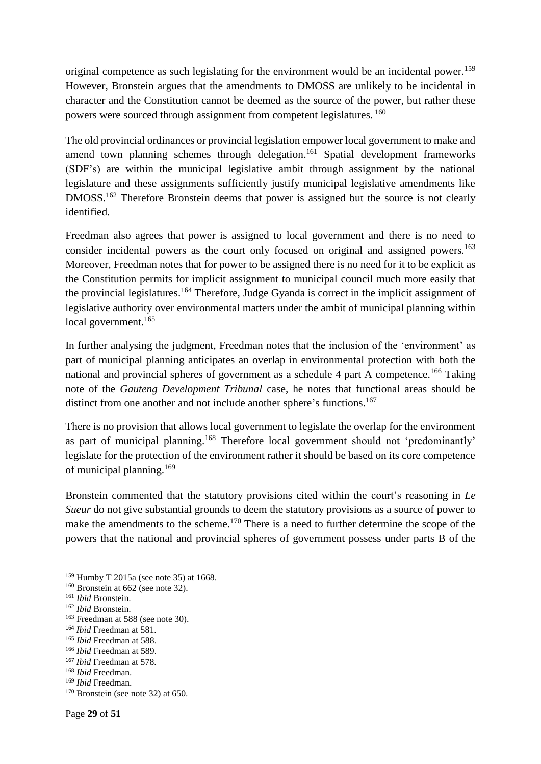original competence as such legislating for the environment would be an incidental power.<sup>159</sup> However, Bronstein argues that the amendments to DMOSS are unlikely to be incidental in character and the Constitution cannot be deemed as the source of the power, but rather these powers were sourced through assignment from competent legislatures. <sup>160</sup>

The old provincial ordinances or provincial legislation empower local government to make and amend town planning schemes through delegation. <sup>161</sup> Spatial development frameworks (SDF's) are within the municipal legislative ambit through assignment by the national legislature and these assignments sufficiently justify municipal legislative amendments like DMOSS.<sup>162</sup> Therefore Bronstein deems that power is assigned but the source is not clearly identified.

Freedman also agrees that power is assigned to local government and there is no need to consider incidental powers as the court only focused on original and assigned powers.<sup>163</sup> Moreover, Freedman notes that for power to be assigned there is no need for it to be explicit as the Constitution permits for implicit assignment to municipal council much more easily that the provincial legislatures.<sup>164</sup> Therefore, Judge Gyanda is correct in the implicit assignment of legislative authority over environmental matters under the ambit of municipal planning within local government.<sup>165</sup>

In further analysing the judgment, Freedman notes that the inclusion of the 'environment' as part of municipal planning anticipates an overlap in environmental protection with both the national and provincial spheres of government as a schedule 4 part A competence.<sup>166</sup> Taking note of the *Gauteng Development Tribunal* case, he notes that functional areas should be distinct from one another and not include another sphere's functions.<sup>167</sup>

There is no provision that allows local government to legislate the overlap for the environment as part of municipal planning. <sup>168</sup> Therefore local government should not 'predominantly' legislate for the protection of the environment rather it should be based on its core competence of municipal planning.<sup>169</sup>

Bronstein commented that the statutory provisions cited within the court's reasoning in *Le Sueur* do not give substantial grounds to deem the statutory provisions as a source of power to make the amendments to the scheme.<sup>170</sup> There is a need to further determine the scope of the powers that the national and provincial spheres of government possess under parts B of the

1

<sup>159</sup> Humby T 2015a (see note 35) at 1668.

<sup>160</sup> Bronstein at 662 (see note 32).

<sup>161</sup> *Ibid* Bronstein.

<sup>162</sup> *Ibid* Bronstein.

<sup>163</sup> Freedman at 588 (see note 30).

<sup>164</sup> *Ibid* Freedman at 581.

<sup>165</sup> *Ibid* Freedman at 588.

<sup>166</sup> *Ibid* Freedman at 589.

<sup>167</sup> *Ibid* Freedman at 578.

<sup>168</sup> *Ibid* Freedman.

<sup>169</sup> *Ibid* Freedman.

 $170$  Bronstein (see note 32) at 650.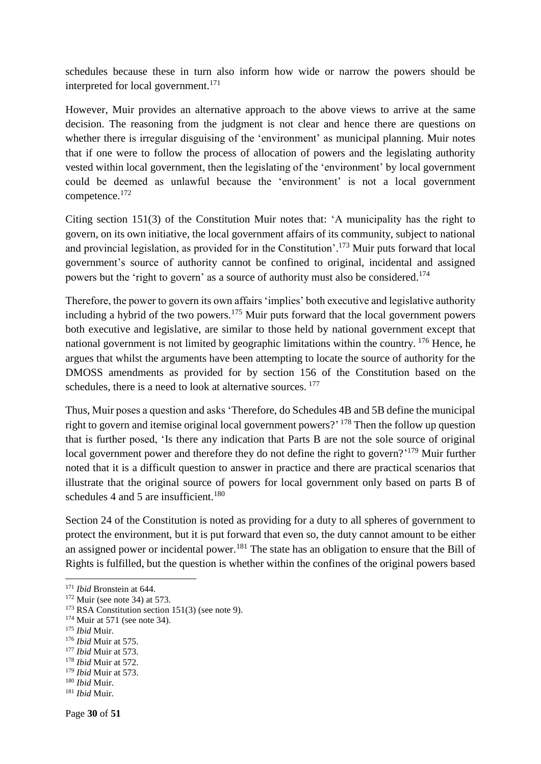schedules because these in turn also inform how wide or narrow the powers should be interpreted for local government.<sup>171</sup>

However, Muir provides an alternative approach to the above views to arrive at the same decision. The reasoning from the judgment is not clear and hence there are questions on whether there is irregular disguising of the 'environment' as municipal planning. Muir notes that if one were to follow the process of allocation of powers and the legislating authority vested within local government, then the legislating of the 'environment' by local government could be deemed as unlawful because the 'environment' is not a local government competence.<sup>172</sup>

Citing section 151(3) of the Constitution Muir notes that: 'A municipality has the right to govern, on its own initiative, the local government affairs of its community, subject to national and provincial legislation, as provided for in the Constitution'.<sup>173</sup> Muir puts forward that local government's source of authority cannot be confined to original, incidental and assigned powers but the 'right to govern' as a source of authority must also be considered.<sup>174</sup>

Therefore, the power to govern its own affairs 'implies' both executive and legislative authority including a hybrid of the two powers.<sup>175</sup> Muir puts forward that the local government powers both executive and legislative, are similar to those held by national government except that national government is not limited by geographic limitations within the country. <sup>176</sup> Hence, he argues that whilst the arguments have been attempting to locate the source of authority for the DMOSS amendments as provided for by section 156 of the Constitution based on the schedules, there is a need to look at alternative sources. <sup>177</sup>

Thus, Muir poses a question and asks 'Therefore, do Schedules 4B and 5B define the municipal right to govern and itemise original local government powers?<sup>'178</sup> Then the follow up question that is further posed, 'Is there any indication that Parts B are not the sole source of original local government power and therefore they do not define the right to govern?'<sup>179</sup> Muir further noted that it is a difficult question to answer in practice and there are practical scenarios that illustrate that the original source of powers for local government only based on parts B of schedules 4 and 5 are insufficient.<sup>180</sup>

Section 24 of the Constitution is noted as providing for a duty to all spheres of government to protect the environment, but it is put forward that even so, the duty cannot amount to be either an assigned power or incidental power.<sup>181</sup> The state has an obligation to ensure that the Bill of Rights is fulfilled, but the question is whether within the confines of the original powers based

**.** 

<sup>177</sup> *Ibid* Muir at 573.

<sup>171</sup> *Ibid* Bronstein at 644.

 $172$  Muir (see note 34) at 573.

 $173$  RSA Constitution section 151(3) (see note 9).

<sup>174</sup> Muir at 571 (see note 34).

<sup>175</sup> *Ibid* Muir.

<sup>176</sup> *Ibid* Muir at 575.

<sup>178</sup> *Ibid* Muir at 572.

<sup>179</sup> *Ibid* Muir at 573.

<sup>180</sup> *Ibid* Muir.

<sup>181</sup> *Ibid* Muir.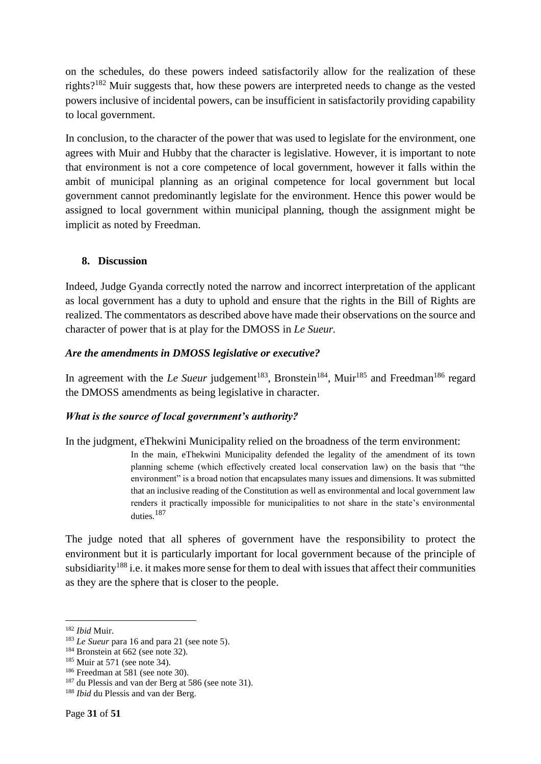on the schedules, do these powers indeed satisfactorily allow for the realization of these rights?<sup>182</sup> Muir suggests that, how these powers are interpreted needs to change as the vested powers inclusive of incidental powers, can be insufficient in satisfactorily providing capability to local government.

In conclusion, to the character of the power that was used to legislate for the environment, one agrees with Muir and Hubby that the character is legislative. However, it is important to note that environment is not a core competence of local government, however it falls within the ambit of municipal planning as an original competence for local government but local government cannot predominantly legislate for the environment. Hence this power would be assigned to local government within municipal planning, though the assignment might be implicit as noted by Freedman.

#### <span id="page-30-0"></span>**8. Discussion**

Indeed, Judge Gyanda correctly noted the narrow and incorrect interpretation of the applicant as local government has a duty to uphold and ensure that the rights in the Bill of Rights are realized. The commentators as described above have made their observations on the source and character of power that is at play for the DMOSS in *Le Sueur.*

#### <span id="page-30-1"></span>*Are the amendments in DMOSS legislative or executive?*

In agreement with the *Le Sueur* judgement<sup>183</sup>, Bronstein<sup>184</sup>, Muir<sup>185</sup> and Freedman<sup>186</sup> regard the DMOSS amendments as being legislative in character.

#### <span id="page-30-2"></span>*What is the source of local government's authority?*

In the judgment, eThekwini Municipality relied on the broadness of the term environment:

In the main, eThekwini Municipality defended the legality of the amendment of its town planning scheme (which effectively created local conservation law) on the basis that "the environment" is a broad notion that encapsulates many issues and dimensions. It was submitted that an inclusive reading of the Constitution as well as environmental and local government law renders it practically impossible for municipalities to not share in the state's environmental duties.<sup>187</sup>

The judge noted that all spheres of government have the responsibility to protect the environment but it is particularly important for local government because of the principle of subsidiarity<sup>188</sup> i.e. it makes more sense for them to deal with issues that affect their communities as they are the sphere that is closer to the people.

**<sup>.</sup>** <sup>182</sup> *Ibid* Muir.

<sup>&</sup>lt;sup>183</sup> *Le Sueur* para 16 and para 21 (see note 5).

<sup>&</sup>lt;sup>184</sup> Bronstein at 662 (see note 32).

 $185$  Muir at 571 (see note 34).

<sup>186</sup> Freedman at 581 (see note 30).

<sup>&</sup>lt;sup>187</sup> du Plessis and van der Berg at 586 (see note 31).

<sup>188</sup> *Ibid* du Plessis and van der Berg.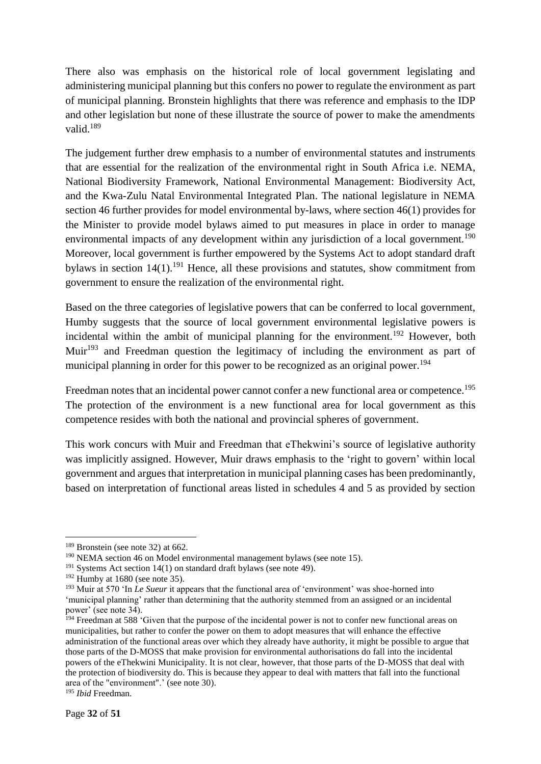There also was emphasis on the historical role of local government legislating and administering municipal planning but this confers no power to regulate the environment as part of municipal planning. Bronstein highlights that there was reference and emphasis to the IDP and other legislation but none of these illustrate the source of power to make the amendments valid.<sup>189</sup>

The judgement further drew emphasis to a number of environmental statutes and instruments that are essential for the realization of the environmental right in South Africa i.e. NEMA, National Biodiversity Framework, National Environmental Management: Biodiversity Act, and the Kwa-Zulu Natal Environmental Integrated Plan. The national legislature in NEMA section 46 further provides for model environmental by-laws, where section 46(1) provides for the Minister to provide model bylaws aimed to put measures in place in order to manage environmental impacts of any development within any jurisdiction of a local government.<sup>190</sup> Moreover, local government is further empowered by the Systems Act to adopt standard draft bylaws in section  $14(1)$ .<sup>191</sup> Hence, all these provisions and statutes, show commitment from government to ensure the realization of the environmental right.

Based on the three categories of legislative powers that can be conferred to local government, Humby suggests that the source of local government environmental legislative powers is incidental within the ambit of municipal planning for the environment.<sup>192</sup> However, both Muir<sup>193</sup> and Freedman question the legitimacy of including the environment as part of municipal planning in order for this power to be recognized as an original power.<sup>194</sup>

Freedman notes that an incidental power cannot confer a new functional area or competence.<sup>195</sup> The protection of the environment is a new functional area for local government as this competence resides with both the national and provincial spheres of government.

This work concurs with Muir and Freedman that eThekwini's source of legislative authority was implicitly assigned. However, Muir draws emphasis to the 'right to govern' within local government and argues that interpretation in municipal planning cases has been predominantly, based on interpretation of functional areas listed in schedules 4 and 5 as provided by section

1

<sup>&</sup>lt;sup>189</sup> Bronstein (see note 32) at 662.

 $190$  NEMA section 46 on Model environmental management bylaws (see note 15).

 $191$  Systems Act section 14(1) on standard draft bylaws (see note 49).

 $192$  Humby at 1680 (see note 35).

<sup>193</sup> Muir at 570 'In *Le Sueur* it appears that the functional area of 'environment' was shoe-horned into 'municipal planning' rather than determining that the authority stemmed from an assigned or an incidental power' (see note 34).

<sup>&</sup>lt;sup>194</sup> Freedman at 588 'Given that the purpose of the incidental power is not to confer new functional areas on municipalities, but rather to confer the power on them to adopt measures that will enhance the effective administration of the functional areas over which they already have authority, it might be possible to argue that those parts of the D-MOSS that make provision for environmental authorisations do fall into the incidental powers of the eThekwini Municipality. It is not clear, however, that those parts of the D-MOSS that deal with the protection of biodiversity do. This is because they appear to deal with matters that fall into the functional area of the "environment".' (see note 30).

<sup>195</sup> *Ibid* Freedman.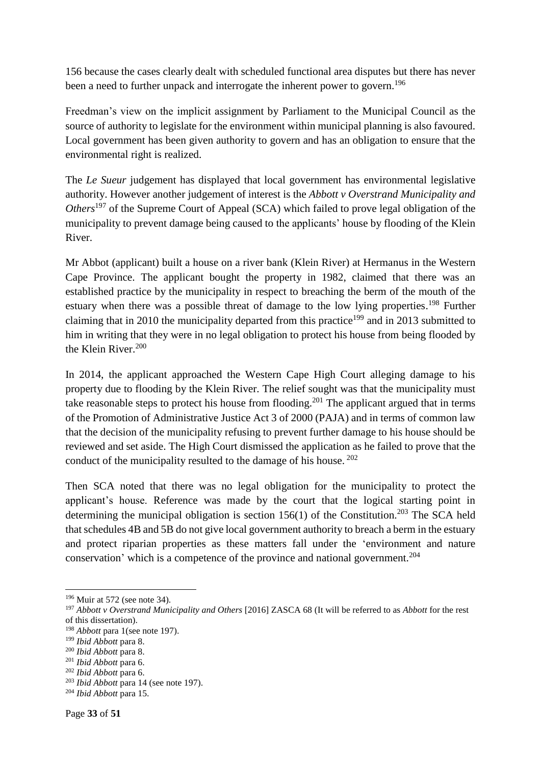156 because the cases clearly dealt with scheduled functional area disputes but there has never been a need to further unpack and interrogate the inherent power to govern.<sup>196</sup>

Freedman's view on the implicit assignment by Parliament to the Municipal Council as the source of authority to legislate for the environment within municipal planning is also favoured. Local government has been given authority to govern and has an obligation to ensure that the environmental right is realized.

The *Le Sueur* judgement has displayed that local government has environmental legislative authority. However another judgement of interest is the *Abbott v Overstrand Municipality and Others*<sup>197</sup> of the Supreme Court of Appeal (SCA) which failed to prove legal obligation of the municipality to prevent damage being caused to the applicants' house by flooding of the Klein River.

Mr Abbot (applicant) built a house on a river bank (Klein River) at Hermanus in the Western Cape Province. The applicant bought the property in 1982, claimed that there was an established practice by the municipality in respect to breaching the berm of the mouth of the estuary when there was a possible threat of damage to the low lying properties.<sup>198</sup> Further claiming that in 2010 the municipality departed from this practice<sup>199</sup> and in 2013 submitted to him in writing that they were in no legal obligation to protect his house from being flooded by the Klein River. 200

In 2014, the applicant approached the Western Cape High Court alleging damage to his property due to flooding by the Klein River. The relief sought was that the municipality must take reasonable steps to protect his house from flooding.<sup>201</sup> The applicant argued that in terms of the Promotion of Administrative Justice Act 3 of 2000 (PAJA) and in terms of common law that the decision of the municipality refusing to prevent further damage to his house should be reviewed and set aside. The High Court dismissed the application as he failed to prove that the conduct of the municipality resulted to the damage of his house. <sup>202</sup>

Then SCA noted that there was no legal obligation for the municipality to protect the applicant's house. Reference was made by the court that the logical starting point in determining the municipal obligation is section  $156(1)$  of the Constitution.<sup>203</sup> The SCA held that schedules 4B and 5B do not give local government authority to breach a berm in the estuary and protect riparian properties as these matters fall under the 'environment and nature conservation' which is a competence of the province and national government.<sup>204</sup>

<sup>196</sup> Muir at 572 (see note 34).

<sup>197</sup> *Abbott v Overstrand Municipality and Others* [2016] ZASCA 68 (It will be referred to as *Abbott* for the rest of this dissertation).

<sup>198</sup> *Abbott* para 1(see note 197).

<sup>199</sup> *Ibid Abbott* para 8.

<sup>200</sup> *Ibid Abbott* para 8.

<sup>201</sup> *Ibid Abbott* para 6.

<sup>202</sup> *Ibid Abbott* para 6.

<sup>203</sup> *Ibid Abbott* para 14 (see note 197).

<sup>204</sup> *Ibid Abbott* para 15.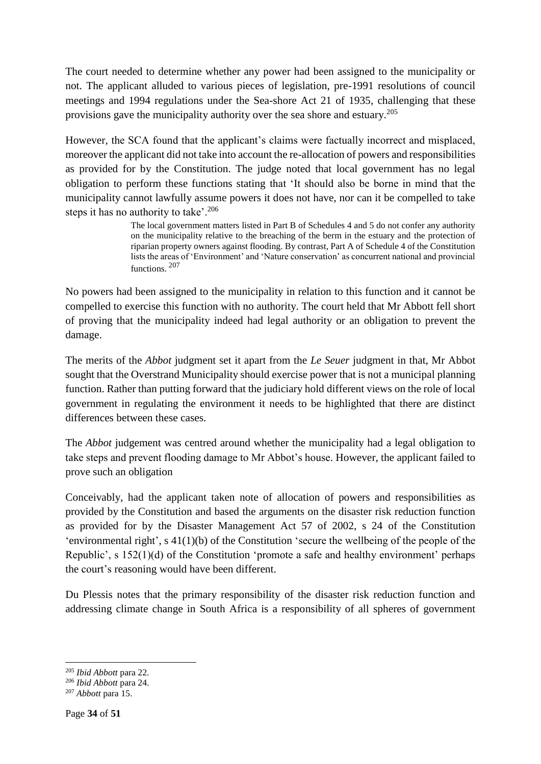The court needed to determine whether any power had been assigned to the municipality or not. The applicant alluded to various pieces of legislation, pre-1991 resolutions of council meetings and 1994 regulations under the Sea-shore Act 21 of 1935, challenging that these provisions gave the municipality authority over the sea shore and estuary.<sup>205</sup>

However, the SCA found that the applicant's claims were factually incorrect and misplaced, moreover the applicant did not take into account the re-allocation of powers and responsibilities as provided for by the Constitution. The judge noted that local government has no legal obligation to perform these functions stating that 'It should also be borne in mind that the municipality cannot lawfully assume powers it does not have, nor can it be compelled to take steps it has no authority to take'.<sup>206</sup>

> The local government matters listed in Part B of Schedules 4 and 5 do not confer any authority on the municipality relative to the breaching of the berm in the estuary and the protection of riparian property owners against flooding. By contrast, Part A of Schedule 4 of the Constitution lists the areas of 'Environment' and 'Nature conservation' as concurrent national and provincial functions. <sup>207</sup>

No powers had been assigned to the municipality in relation to this function and it cannot be compelled to exercise this function with no authority. The court held that Mr Abbott fell short of proving that the municipality indeed had legal authority or an obligation to prevent the damage.

The merits of the *Abbot* judgment set it apart from the *Le Seuer* judgment in that, Mr Abbot sought that the Overstrand Municipality should exercise power that is not a municipal planning function. Rather than putting forward that the judiciary hold different views on the role of local government in regulating the environment it needs to be highlighted that there are distinct differences between these cases.

The *Abbot* judgement was centred around whether the municipality had a legal obligation to take steps and prevent flooding damage to Mr Abbot's house. However, the applicant failed to prove such an obligation

Conceivably, had the applicant taken note of allocation of powers and responsibilities as provided by the Constitution and based the arguments on the disaster risk reduction function as provided for by the Disaster Management Act 57 of 2002, s 24 of the Constitution 'environmental right', s 41(1)(b) of the Constitution 'secure the wellbeing of the people of the Republic', s 152(1)(d) of the Constitution 'promote a safe and healthy environment' perhaps the court's reasoning would have been different.

Du Plessis notes that the primary responsibility of the disaster risk reduction function and addressing climate change in South Africa is a responsibility of all spheres of government

1

<sup>205</sup> *Ibid Abbott* para 22.

<sup>206</sup> *Ibid Abbott* para 24.

<sup>207</sup> *Abbott* para 15.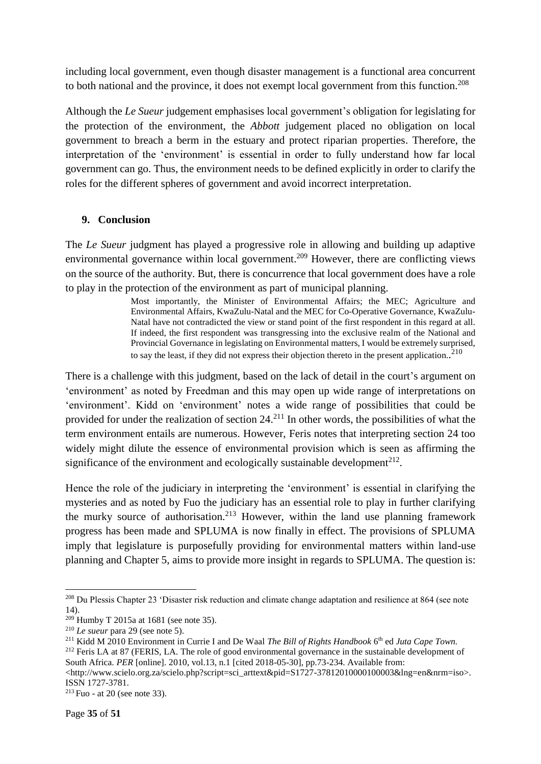including local government, even though disaster management is a functional area concurrent to both national and the province, it does not exempt local government from this function.<sup>208</sup>

Although the *Le Sueur* judgement emphasises local government's obligation for legislating for the protection of the environment, the *Abbott* judgement placed no obligation on local government to breach a berm in the estuary and protect riparian properties. Therefore, the interpretation of the 'environment' is essential in order to fully understand how far local government can go. Thus, the environment needs to be defined explicitly in order to clarify the roles for the different spheres of government and avoid incorrect interpretation.

#### <span id="page-34-0"></span>**9. Conclusion**

The *Le Sueur* judgment has played a progressive role in allowing and building up adaptive environmental governance within local government.<sup>209</sup> However, there are conflicting views on the source of the authority. But, there is concurrence that local government does have a role to play in the protection of the environment as part of municipal planning.

> Most importantly, the Minister of Environmental Affairs; the MEC; Agriculture and Environmental Affairs, KwaZulu-Natal and the MEC for Co-Operative Governance, KwaZulu-Natal have not contradicted the view or stand point of the first respondent in this regard at all. If indeed, the first respondent was transgressing into the exclusive realm of the National and Provincial Governance in legislating on Environmental matters, I would be extremely surprised, to say the least, if they did not express their objection thereto in the present application..<sup>210</sup>

There is a challenge with this judgment, based on the lack of detail in the court's argument on 'environment' as noted by Freedman and this may open up wide range of interpretations on 'environment'. Kidd on 'environment' notes a wide range of possibilities that could be provided for under the realization of section  $24.^{211}$  In other words, the possibilities of what the term environment entails are numerous. However, Feris notes that interpreting section 24 too widely might dilute the essence of environmental provision which is seen as affirming the significance of the environment and ecologically sustainable development<sup>212</sup>.

Hence the role of the judiciary in interpreting the 'environment' is essential in clarifying the mysteries and as noted by Fuo the judiciary has an essential role to play in further clarifying the murky source of authorisation.<sup>213</sup> However, within the land use planning framework progress has been made and SPLUMA is now finally in effect. The provisions of SPLUMA imply that legislature is purposefully providing for environmental matters within land-use planning and Chapter 5, aims to provide more insight in regards to SPLUMA. The question is:

<sup>&</sup>lt;sup>208</sup> Du Plessis Chapter 23 'Disaster risk reduction and climate change adaptation and resilience at 864 (see note 14).

 $209$  Humby T 2015a at 1681 (see note 35).

<sup>210</sup> *Le sueur* para 29 (see note 5).

<sup>211</sup> Kidd M 2010 Environment in Currie I and De Waal *The Bill of Rights Handbook* 6 th ed *Juta Cape Town.* <sup>212</sup> Feris LA at 87 (FERIS, LA. The role of good environmental governance in the sustainable development of South Africa. *PER* [online]. 2010, vol.13, n.1 [cited 2018-05-30], pp.73-234. Available from:

<sup>&</sup>lt;http://www.scielo.org.za/scielo.php?script=sci\_arttext&pid=S1727-37812010000100003&lng=en&nrm=iso>. ISSN 1727-3781.

 $213$  Fuo - at 20 (see note 33).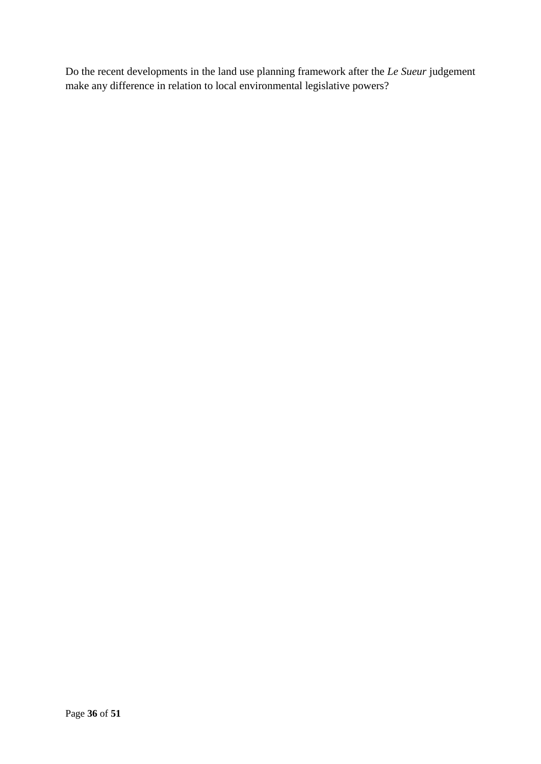Do the recent developments in the land use planning framework after the *Le Sueur* judgement make any difference in relation to local environmental legislative powers?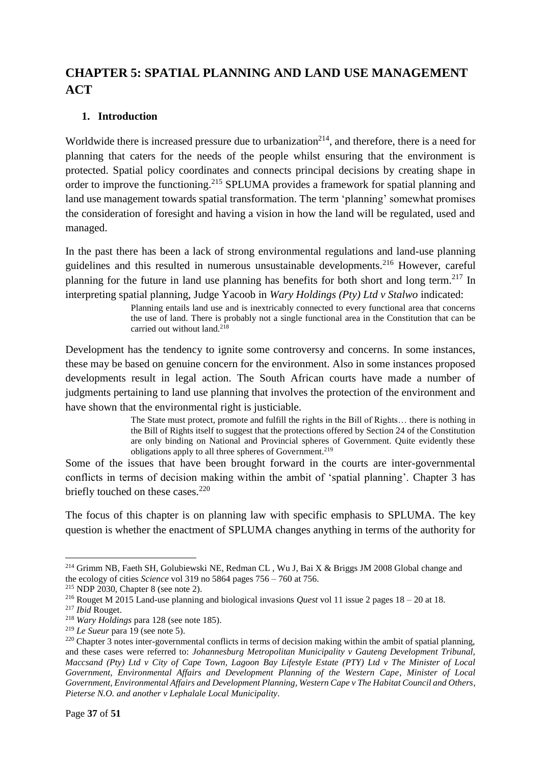# <span id="page-36-0"></span>**CHAPTER 5: SPATIAL PLANNING AND LAND USE MANAGEMENT ACT**

#### <span id="page-36-1"></span>**1. Introduction**

Worldwide there is increased pressure due to urbanization<sup>214</sup>, and therefore, there is a need for planning that caters for the needs of the people whilst ensuring that the environment is protected. Spatial policy coordinates and connects principal decisions by creating shape in order to improve the functioning.<sup>215</sup> SPLUMA provides a framework for spatial planning and land use management towards spatial transformation. The term 'planning' somewhat promises the consideration of foresight and having a vision in how the land will be regulated, used and managed.

In the past there has been a lack of strong environmental regulations and land-use planning guidelines and this resulted in numerous unsustainable developments.<sup>216</sup> However, careful planning for the future in land use planning has benefits for both short and long term.<sup>217</sup> In interpreting spatial planning, Judge Yacoob in *Wary Holdings (Pty) Ltd v Stalwo* indicated:

> Planning entails land use and is inextricably connected to every functional area that concerns the use of land. There is probably not a single functional area in the Constitution that can be carried out without land.<sup>218</sup>

Development has the tendency to ignite some controversy and concerns. In some instances, these may be based on genuine concern for the environment. Also in some instances proposed developments result in legal action. The South African courts have made a number of judgments pertaining to land use planning that involves the protection of the environment and have shown that the environmental right is justiciable.

> The State must protect, promote and fulfill the rights in the Bill of Rights… there is nothing in the Bill of Rights itself to suggest that the protections offered by Section 24 of the Constitution are only binding on National and Provincial spheres of Government. Quite evidently these obligations apply to all three spheres of Government. 219

Some of the issues that have been brought forward in the courts are inter-governmental conflicts in terms of decision making within the ambit of 'spatial planning'. Chapter 3 has briefly touched on these cases. $220$ 

The focus of this chapter is on planning law with specific emphasis to SPLUMA. The key question is whether the enactment of SPLUMA changes anything in terms of the authority for

 $\overline{a}$ <sup>214</sup> Grimm NB, Faeth SH, Golubiewski NE, Redman CL, Wu J, Bai X & Briggs JM 2008 Global change and the ecology of cities *Science* vol 319 no 5864 pages 756 – 760 at 756.

<sup>215</sup> NDP 2030, Chapter 8 (see note 2).

<sup>216</sup> Rouget M 2015 Land-use planning and biological invasions *Quest* vol 11 issue 2 pages 18 – 20 at 18.

<sup>217</sup> *Ibid* Rouget.

<sup>218</sup> *Wary Holdings* para 128 (see note 185).

<sup>219</sup> *Le Sueur* para 19 (see note 5).

<sup>&</sup>lt;sup>220</sup> Chapter 3 notes inter-governmental conflicts in terms of decision making within the ambit of spatial planning, and these cases were referred to: *Johannesburg Metropolitan Municipality v Gauteng Development Tribunal, Maccsand (Pty) Ltd v City of Cape Town, Lagoon Bay Lifestyle Estate (PTY) Ltd v The Minister of Local Government, Environmental Affairs and Development Planning of the Western Cape*, *Minister of Local Government, Environmental Affairs and Development Planning, Western Cape v The Habitat Council and Others*, *Pieterse N.O. and another v Lephalale Local Municipality.*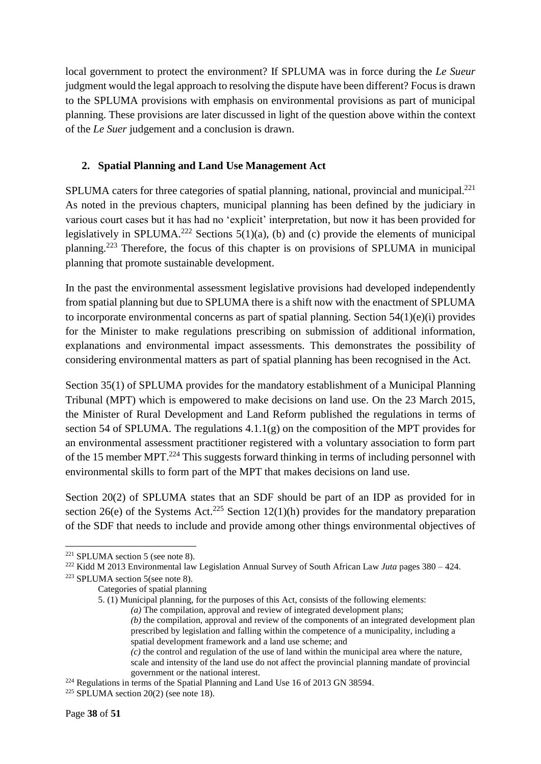local government to protect the environment? If SPLUMA was in force during the *Le Sueur* judgment would the legal approach to resolving the dispute have been different? Focus is drawn to the SPLUMA provisions with emphasis on environmental provisions as part of municipal planning. These provisions are later discussed in light of the question above within the context of the *Le Suer* judgement and a conclusion is drawn.

#### <span id="page-37-0"></span>**2. Spatial Planning and Land Use Management Act**

SPLUMA caters for three categories of spatial planning, national, provincial and municipal.<sup>221</sup> As noted in the previous chapters, municipal planning has been defined by the judiciary in various court cases but it has had no 'explicit' interpretation, but now it has been provided for legislatively in SPLUMA.<sup>222</sup> Sections  $5(1)(a)$ , (b) and (c) provide the elements of municipal planning.<sup>223</sup> Therefore, the focus of this chapter is on provisions of SPLUMA in municipal planning that promote sustainable development.

In the past the environmental assessment legislative provisions had developed independently from spatial planning but due to SPLUMA there is a shift now with the enactment of SPLUMA to incorporate environmental concerns as part of spatial planning. Section 54(1)(e)(i) provides for the Minister to make regulations prescribing on submission of additional information, explanations and environmental impact assessments. This demonstrates the possibility of considering environmental matters as part of spatial planning has been recognised in the Act.

Section 35(1) of SPLUMA provides for the mandatory establishment of a Municipal Planning Tribunal (MPT) which is empowered to make decisions on land use. On the 23 March 2015, the Minister of Rural Development and Land Reform published the regulations in terms of section 54 of SPLUMA. The regulations 4.1.1(g) on the composition of the MPT provides for an environmental assessment practitioner registered with a voluntary association to form part of the 15 member MPT.<sup>224</sup> This suggests forward thinking in terms of including personnel with environmental skills to form part of the MPT that makes decisions on land use.

Section 20(2) of SPLUMA states that an SDF should be part of an IDP as provided for in section 26(e) of the Systems Act.<sup>225</sup> Section 12(1)(h) provides for the mandatory preparation of the SDF that needs to include and provide among other things environmental objectives of

<sup>1</sup> <sup>221</sup> SPLUMA section 5 (see note 8).

<sup>222</sup> Kidd M 2013 Environmental law Legislation Annual Survey of South African Law *Juta* pages 380 – 424.

<sup>223</sup> SPLUMA section 5(see note 8).

Categories of spatial planning

<sup>5. (1)</sup> Municipal planning, for the purposes of this Act, consists of the following elements: *(a)* The compilation, approval and review of integrated development plans; *(b)* the compilation, approval and review of the components of an integrated development plan prescribed by legislation and falling within the competence of a municipality, including a spatial development framework and a land use scheme; and *(c)* the control and regulation of the use of land within the municipal area where the nature, scale and intensity of the land use do not affect the provincial planning mandate of provincial government or the national interest.

<sup>224</sup> Regulations in terms of the Spatial Planning and Land Use 16 of 2013 GN 38594.

<sup>&</sup>lt;sup>225</sup> SPLUMA section  $20(2)$  (see note 18).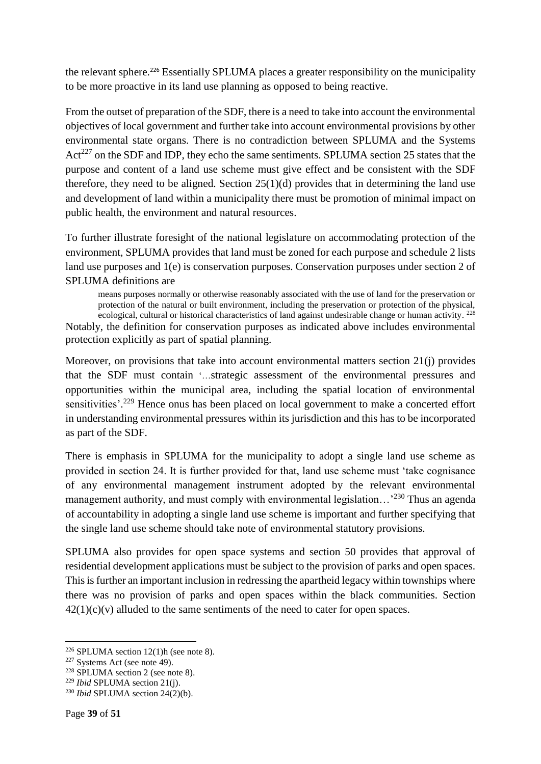the relevant sphere.<sup>226</sup> Essentially SPLUMA places a greater responsibility on the municipality to be more proactive in its land use planning as opposed to being reactive.

From the outset of preparation of the SDF, there is a need to take into account the environmental objectives of local government and further take into account environmental provisions by other environmental state organs. There is no contradiction between SPLUMA and the Systems  $Act^{227}$  on the SDF and IDP, they echo the same sentiments. SPLUMA section 25 states that the purpose and content of a land use scheme must give effect and be consistent with the SDF therefore, they need to be aligned. Section  $25(1)(d)$  provides that in determining the land use and development of land within a municipality there must be promotion of minimal impact on public health, the environment and natural resources.

To further illustrate foresight of the national legislature on accommodating protection of the environment, SPLUMA provides that land must be zoned for each purpose and schedule 2 lists land use purposes and 1(e) is conservation purposes. Conservation purposes under section 2 of SPLUMA definitions are

means purposes normally or otherwise reasonably associated with the use of land for the preservation or protection of the natural or built environment, including the preservation or protection of the physical, ecological, cultural or historical characteristics of land against undesirable change or human activity. <sup>228</sup> Notably, the definition for conservation purposes as indicated above includes environmental protection explicitly as part of spatial planning.

Moreover, on provisions that take into account environmental matters section 21(j) provides that the SDF must contain '…strategic assessment of the environmental pressures and opportunities within the municipal area, including the spatial location of environmental sensitivities'.<sup>229</sup> Hence onus has been placed on local government to make a concerted effort in understanding environmental pressures within its jurisdiction and this has to be incorporated as part of the SDF.

There is emphasis in SPLUMA for the municipality to adopt a single land use scheme as provided in section 24. It is further provided for that, land use scheme must 'take cognisance of any environmental management instrument adopted by the relevant environmental management authority, and must comply with environmental legislation...<sup>230</sup> Thus an agenda of accountability in adopting a single land use scheme is important and further specifying that the single land use scheme should take note of environmental statutory provisions.

SPLUMA also provides for open space systems and section 50 provides that approval of residential development applications must be subject to the provision of parks and open spaces. This is further an important inclusion in redressing the apartheid legacy within townships where there was no provision of parks and open spaces within the black communities. Section  $42(1)(c)(v)$  alluded to the same sentiments of the need to cater for open spaces.

**<sup>.</sup>**  $226$  SPLUMA section 12(1)h (see note 8).

<sup>227</sup> Systems Act (see note 49).

<sup>228</sup> SPLUMA section 2 (see note 8).

<sup>229</sup> *Ibid* SPLUMA section 21(j).

<sup>230</sup> *Ibid* SPLUMA section 24(2)(b).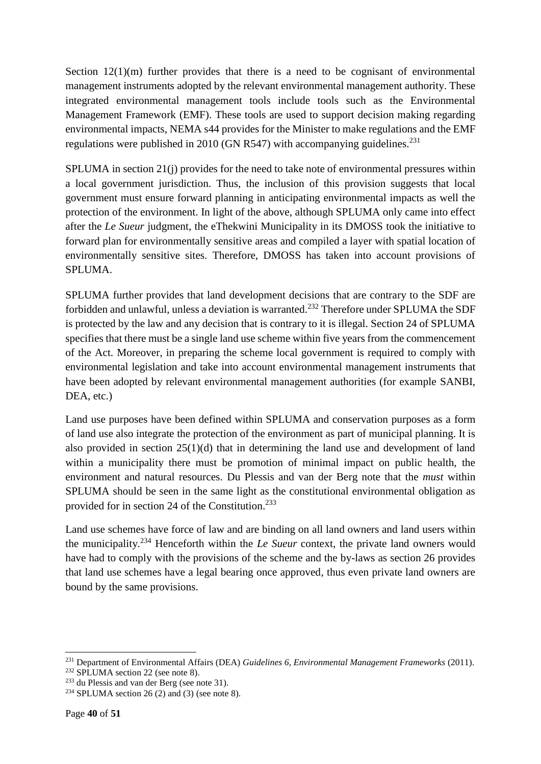Section  $12(1)(m)$  further provides that there is a need to be cognisant of environmental management instruments adopted by the relevant environmental management authority. These integrated environmental management tools include tools such as the Environmental Management Framework (EMF). These tools are used to support decision making regarding environmental impacts, NEMA s44 provides for the Minister to make regulations and the EMF regulations were published in 2010 (GN R547) with accompanying guidelines.<sup>231</sup>

SPLUMA in section 21(j) provides for the need to take note of environmental pressures within a local government jurisdiction. Thus, the inclusion of this provision suggests that local government must ensure forward planning in anticipating environmental impacts as well the protection of the environment. In light of the above, although SPLUMA only came into effect after the *Le Sueur* judgment, the eThekwini Municipality in its DMOSS took the initiative to forward plan for environmentally sensitive areas and compiled a layer with spatial location of environmentally sensitive sites. Therefore, DMOSS has taken into account provisions of SPLUMA.

SPLUMA further provides that land development decisions that are contrary to the SDF are forbidden and unlawful, unless a deviation is warranted.<sup>232</sup> Therefore under SPLUMA the SDF is protected by the law and any decision that is contrary to it is illegal. Section 24 of SPLUMA specifies that there must be a single land use scheme within five years from the commencement of the Act. Moreover, in preparing the scheme local government is required to comply with environmental legislation and take into account environmental management instruments that have been adopted by relevant environmental management authorities (for example SANBI, DEA, etc.)

Land use purposes have been defined within SPLUMA and conservation purposes as a form of land use also integrate the protection of the environment as part of municipal planning. It is also provided in section 25(1)(d) that in determining the land use and development of land within a municipality there must be promotion of minimal impact on public health, the environment and natural resources. Du Plessis and van der Berg note that the *must* within SPLUMA should be seen in the same light as the constitutional environmental obligation as provided for in section 24 of the Constitution.<sup>233</sup>

Land use schemes have force of law and are binding on all land owners and land users within the municipality.<sup>234</sup> Henceforth within the *Le Sueur* context, the private land owners would have had to comply with the provisions of the scheme and the by-laws as section 26 provides that land use schemes have a legal bearing once approved, thus even private land owners are bound by the same provisions.

<sup>231</sup> Department of Environmental Affairs (DEA) *Guidelines 6, Environmental Management Frameworks* (2011).

<sup>&</sup>lt;sup>232</sup> SPLUMA section 22 (see note 8).

<sup>233</sup> du Plessis and van der Berg (see note 31).

<sup>&</sup>lt;sup>234</sup> SPLUMA section 26 (2) and (3) (see note 8).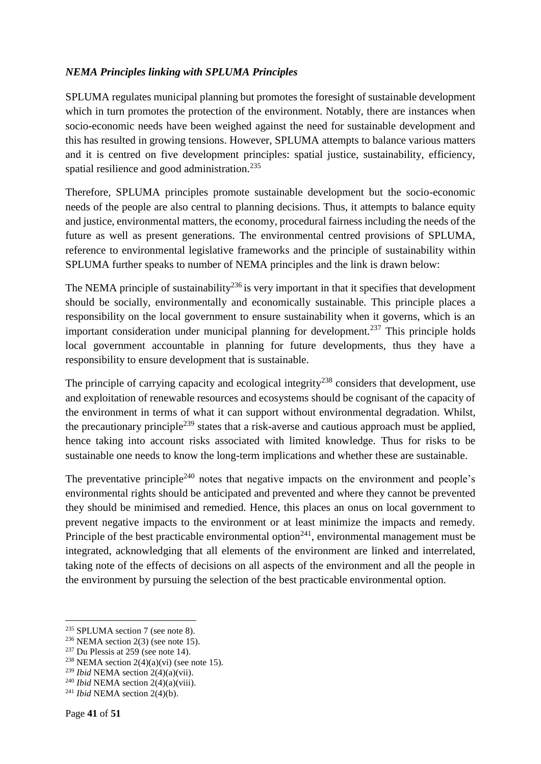#### <span id="page-40-0"></span>*NEMA Principles linking with SPLUMA Principles*

SPLUMA regulates municipal planning but promotes the foresight of sustainable development which in turn promotes the protection of the environment. Notably, there are instances when socio-economic needs have been weighed against the need for sustainable development and this has resulted in growing tensions. However, SPLUMA attempts to balance various matters and it is centred on five development principles: spatial justice, sustainability, efficiency, spatial resilience and good administration.<sup>235</sup>

Therefore, SPLUMA principles promote sustainable development but the socio-economic needs of the people are also central to planning decisions. Thus, it attempts to balance equity and justice, environmental matters, the economy, procedural fairness including the needs of the future as well as present generations. The environmental centred provisions of SPLUMA, reference to environmental legislative frameworks and the principle of sustainability within SPLUMA further speaks to number of NEMA principles and the link is drawn below:

The NEMA principle of sustainability<sup>236</sup> is very important in that it specifies that development should be socially, environmentally and economically sustainable. This principle places a responsibility on the local government to ensure sustainability when it governs, which is an important consideration under municipal planning for development.<sup>237</sup> This principle holds local government accountable in planning for future developments, thus they have a responsibility to ensure development that is sustainable.

The principle of carrying capacity and ecological integrity<sup>238</sup> considers that development, use and exploitation of renewable resources and ecosystems should be cognisant of the capacity of the environment in terms of what it can support without environmental degradation. Whilst, the precautionary principle<sup>239</sup> states that a risk-averse and cautious approach must be applied, hence taking into account risks associated with limited knowledge. Thus for risks to be sustainable one needs to know the long-term implications and whether these are sustainable.

The preventative principle<sup>240</sup> notes that negative impacts on the environment and people's environmental rights should be anticipated and prevented and where they cannot be prevented they should be minimised and remedied. Hence, this places an onus on local government to prevent negative impacts to the environment or at least minimize the impacts and remedy. Principle of the best practicable environmental option<sup>241</sup>, environmental management must be integrated, acknowledging that all elements of the environment are linked and interrelated, taking note of the effects of decisions on all aspects of the environment and all the people in the environment by pursuing the selection of the best practicable environmental option.

<sup>235</sup> SPLUMA section 7 (see note 8).

 $236$  NEMA section 2(3) (see note 15).

<sup>237</sup> Du Plessis at 259 (see note 14).

<sup>&</sup>lt;sup>238</sup> NEMA section  $2(4)(a)(vi)$  (see note 15).

<sup>239</sup> *Ibid* NEMA section 2(4)(a)(vii).

<sup>240</sup> *Ibid* NEMA section 2(4)(a)(viii).

<sup>241</sup> *Ibid* NEMA section 2(4)(b).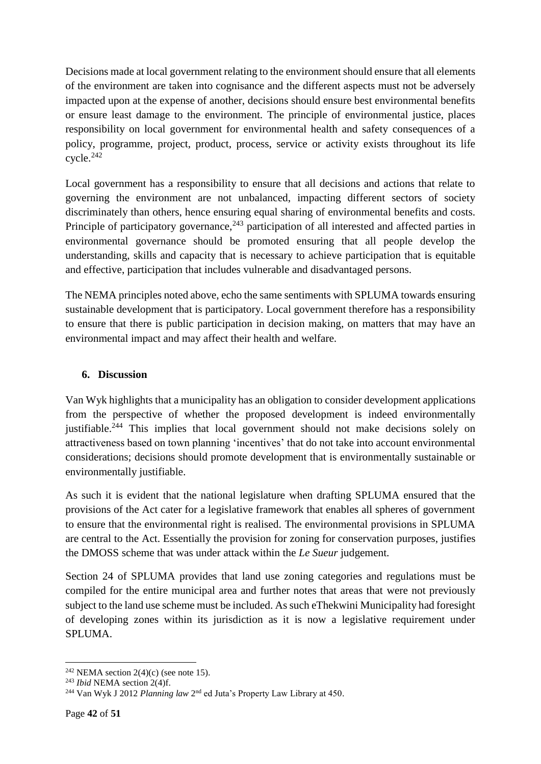Decisions made at local government relating to the environment should ensure that all elements of the environment are taken into cognisance and the different aspects must not be adversely impacted upon at the expense of another, decisions should ensure best environmental benefits or ensure least damage to the environment. The principle of environmental justice, places responsibility on local government for environmental health and safety consequences of a policy, programme, project, product, process, service or activity exists throughout its life cycle.<sup>242</sup>

Local government has a responsibility to ensure that all decisions and actions that relate to governing the environment are not unbalanced, impacting different sectors of society discriminately than others, hence ensuring equal sharing of environmental benefits and costs. Principle of participatory governance,<sup>243</sup> participation of all interested and affected parties in environmental governance should be promoted ensuring that all people develop the understanding, skills and capacity that is necessary to achieve participation that is equitable and effective, participation that includes vulnerable and disadvantaged persons.

The NEMA principles noted above, echo the same sentiments with SPLUMA towards ensuring sustainable development that is participatory. Local government therefore has a responsibility to ensure that there is public participation in decision making, on matters that may have an environmental impact and may affect their health and welfare.

#### <span id="page-41-0"></span>**6. Discussion**

Van Wyk highlights that a municipality has an obligation to consider development applications from the perspective of whether the proposed development is indeed environmentally justifiable.<sup>244</sup> This implies that local government should not make decisions solely on attractiveness based on town planning 'incentives' that do not take into account environmental considerations; decisions should promote development that is environmentally sustainable or environmentally justifiable.

As such it is evident that the national legislature when drafting SPLUMA ensured that the provisions of the Act cater for a legislative framework that enables all spheres of government to ensure that the environmental right is realised. The environmental provisions in SPLUMA are central to the Act. Essentially the provision for zoning for conservation purposes, justifies the DMOSS scheme that was under attack within the *Le Sueur* judgement.

Section 24 of SPLUMA provides that land use zoning categories and regulations must be compiled for the entire municipal area and further notes that areas that were not previously subject to the land use scheme must be included. As such eThekwini Municipality had foresight of developing zones within its jurisdiction as it is now a legislative requirement under SPLUMA.

<sup>1</sup> <sup>242</sup> NEMA section  $2(4)(c)$  (see note 15).

<sup>243</sup> *Ibid* NEMA section 2(4)f.

<sup>&</sup>lt;sup>244</sup> Van Wyk J 2012 *Planning law* 2<sup>nd</sup> ed Juta's Property Law Library at 450.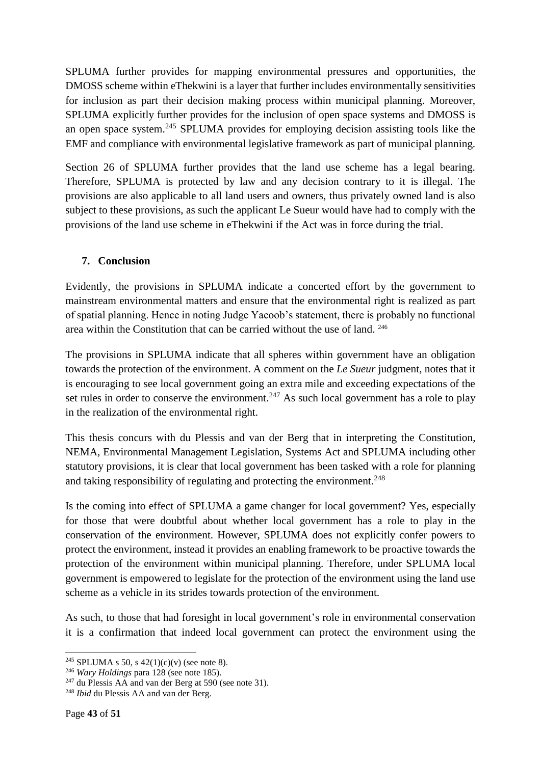SPLUMA further provides for mapping environmental pressures and opportunities, the DMOSS scheme within eThekwini is a layer that further includes environmentally sensitivities for inclusion as part their decision making process within municipal planning. Moreover, SPLUMA explicitly further provides for the inclusion of open space systems and DMOSS is an open space system.<sup>245</sup> SPLUMA provides for employing decision assisting tools like the EMF and compliance with environmental legislative framework as part of municipal planning.

Section 26 of SPLUMA further provides that the land use scheme has a legal bearing. Therefore, SPLUMA is protected by law and any decision contrary to it is illegal. The provisions are also applicable to all land users and owners, thus privately owned land is also subject to these provisions, as such the applicant Le Sueur would have had to comply with the provisions of the land use scheme in eThekwini if the Act was in force during the trial.

#### <span id="page-42-0"></span>**7. Conclusion**

Evidently, the provisions in SPLUMA indicate a concerted effort by the government to mainstream environmental matters and ensure that the environmental right is realized as part of spatial planning. Hence in noting Judge Yacoob's statement, there is probably no functional area within the Constitution that can be carried without the use of land. <sup>246</sup>

The provisions in SPLUMA indicate that all spheres within government have an obligation towards the protection of the environment. A comment on the *Le Sueur* judgment, notes that it is encouraging to see local government going an extra mile and exceeding expectations of the set rules in order to conserve the environment.<sup>247</sup> As such local government has a role to play in the realization of the environmental right.

This thesis concurs with du Plessis and van der Berg that in interpreting the Constitution, NEMA, Environmental Management Legislation, Systems Act and SPLUMA including other statutory provisions, it is clear that local government has been tasked with a role for planning and taking responsibility of regulating and protecting the environment.<sup>248</sup>

Is the coming into effect of SPLUMA a game changer for local government? Yes, especially for those that were doubtful about whether local government has a role to play in the conservation of the environment. However, SPLUMA does not explicitly confer powers to protect the environment, instead it provides an enabling framework to be proactive towards the protection of the environment within municipal planning. Therefore, under SPLUMA local government is empowered to legislate for the protection of the environment using the land use scheme as a vehicle in its strides towards protection of the environment.

As such, to those that had foresight in local government's role in environmental conservation it is a confirmation that indeed local government can protect the environment using the

<sup>&</sup>lt;sup>245</sup> SPLUMA s 50, s  $42(1)(c)(v)$  (see note 8).

<sup>246</sup> *Wary Holdings* para 128 (see note 185).

 $247$  du Plessis AA and van der Berg at 590 (see note 31).

<sup>248</sup> *Ibid* du Plessis AA and van der Berg.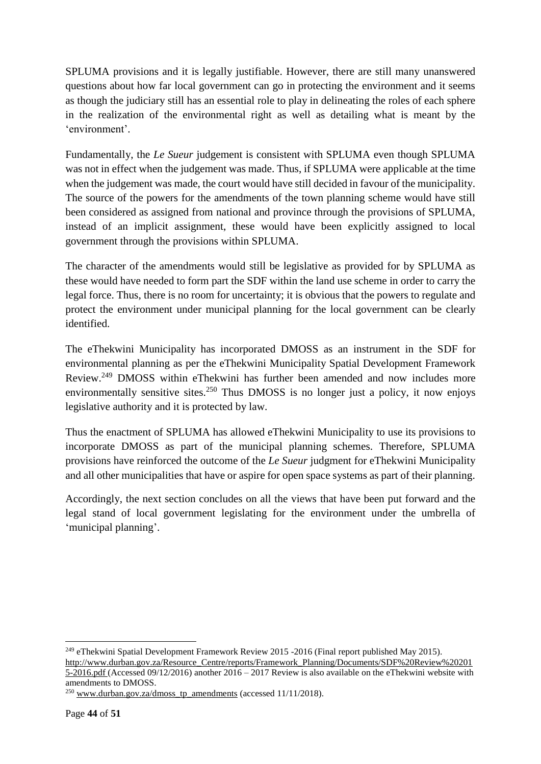SPLUMA provisions and it is legally justifiable. However, there are still many unanswered questions about how far local government can go in protecting the environment and it seems as though the judiciary still has an essential role to play in delineating the roles of each sphere in the realization of the environmental right as well as detailing what is meant by the 'environment'.

Fundamentally, the *Le Sueur* judgement is consistent with SPLUMA even though SPLUMA was not in effect when the judgement was made. Thus, if SPLUMA were applicable at the time when the judgement was made, the court would have still decided in favour of the municipality. The source of the powers for the amendments of the town planning scheme would have still been considered as assigned from national and province through the provisions of SPLUMA, instead of an implicit assignment, these would have been explicitly assigned to local government through the provisions within SPLUMA.

The character of the amendments would still be legislative as provided for by SPLUMA as these would have needed to form part the SDF within the land use scheme in order to carry the legal force. Thus, there is no room for uncertainty; it is obvious that the powers to regulate and protect the environment under municipal planning for the local government can be clearly identified.

The eThekwini Municipality has incorporated DMOSS as an instrument in the SDF for environmental planning as per the eThekwini Municipality Spatial Development Framework Review. <sup>249</sup> DMOSS within eThekwini has further been amended and now includes more environmentally sensitive sites.<sup>250</sup> Thus DMOSS is no longer just a policy, it now enjoys legislative authority and it is protected by law.

Thus the enactment of SPLUMA has allowed eThekwini Municipality to use its provisions to incorporate DMOSS as part of the municipal planning schemes. Therefore, SPLUMA provisions have reinforced the outcome of the *Le Sueur* judgment for eThekwini Municipality and all other municipalities that have or aspire for open space systems as part of their planning.

Accordingly, the next section concludes on all the views that have been put forward and the legal stand of local government legislating for the environment under the umbrella of 'municipal planning'.

**<sup>.</sup>** <sup>249</sup> eThekwini Spatial Development Framework Review 2015 -2016 (Final report published May 2015). [http://www.durban.gov.za/Resource\\_Centre/reports/Framework\\_Planning/Documents/SDF%20Review%20201](http://www.durban.gov.za/Resource_Centre/reports/Framework_Planning/Documents/SDF%20Review%202015-2016.pdf) [5-2016.pdf](http://www.durban.gov.za/Resource_Centre/reports/Framework_Planning/Documents/SDF%20Review%202015-2016.pdf) (Accessed 09/12/2016) another 2016 – 2017 Review is also available on the eThekwini website with amendments to DMOSS.

 $^{250}$  [www.durban.gov.za/dmoss\\_tp\\_amendments](http://www.durban.gov.za/dmoss_tp_amendments) (accessed 11/11/2018).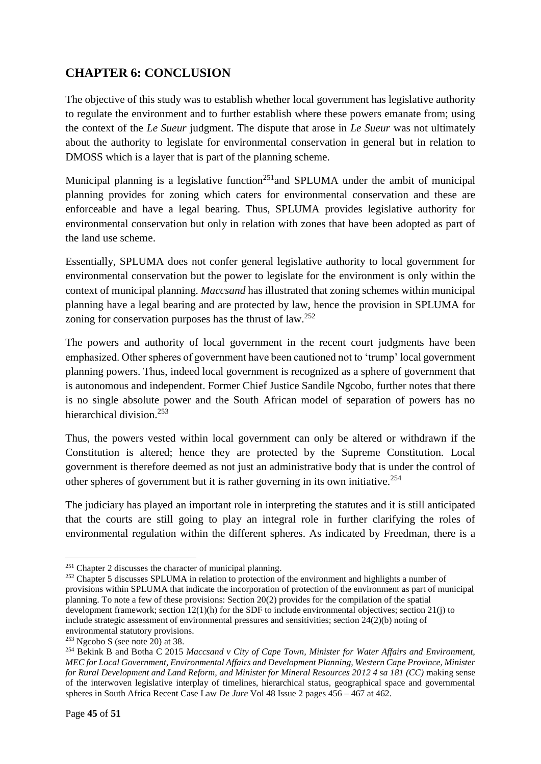### <span id="page-44-0"></span>**CHAPTER 6: CONCLUSION**

The objective of this study was to establish whether local government has legislative authority to regulate the environment and to further establish where these powers emanate from; using the context of the *Le Sueur* judgment. The dispute that arose in *Le Sueur* was not ultimately about the authority to legislate for environmental conservation in general but in relation to DMOSS which is a layer that is part of the planning scheme.

Municipal planning is a legislative function<sup>251</sup> and SPLUMA under the ambit of municipal planning provides for zoning which caters for environmental conservation and these are enforceable and have a legal bearing. Thus, SPLUMA provides legislative authority for environmental conservation but only in relation with zones that have been adopted as part of the land use scheme.

Essentially, SPLUMA does not confer general legislative authority to local government for environmental conservation but the power to legislate for the environment is only within the context of municipal planning. *Maccsand* has illustrated that zoning schemes within municipal planning have a legal bearing and are protected by law, hence the provision in SPLUMA for zoning for conservation purposes has the thrust of law.<sup>252</sup>

The powers and authority of local government in the recent court judgments have been emphasized. Other spheres of government have been cautioned not to 'trump' local government planning powers. Thus, indeed local government is recognized as a sphere of government that is autonomous and independent. Former Chief Justice Sandile Ngcobo, further notes that there is no single absolute power and the South African model of separation of powers has no hierarchical division.<sup>253</sup>

Thus, the powers vested within local government can only be altered or withdrawn if the Constitution is altered; hence they are protected by the Supreme Constitution. Local government is therefore deemed as not just an administrative body that is under the control of other spheres of government but it is rather governing in its own initiative.<sup>254</sup>

The judiciary has played an important role in interpreting the statutes and it is still anticipated that the courts are still going to play an integral role in further clarifying the roles of environmental regulation within the different spheres. As indicated by Freedman, there is a

 $\overline{\phantom{a}}$ 

<sup>251</sup> Chapter 2 discusses the character of municipal planning.

<sup>&</sup>lt;sup>252</sup> Chapter 5 discusses SPLUMA in relation to protection of the environment and highlights a number of provisions within SPLUMA that indicate the incorporation of protection of the environment as part of municipal planning. To note a few of these provisions: Section 20(2) provides for the compilation of the spatial development framework; section  $12(1)(h)$  for the SDF to include environmental objectives; section  $21(i)$  to include strategic assessment of environmental pressures and sensitivities; section  $24(2)(b)$  noting of environmental statutory provisions.

 $253$  Ngcobo S (see note 20) at 38.

<sup>254</sup> Bekink B and Botha C 2015 *Maccsand v City of Cape Town, Minister for Water Affairs and Environment, MEC for Local Government, Environmental Affairs and Development Planning, Western Cape Province, Minister for Rural Development and Land Reform, and Minister for Mineral Resources 2012 4 sa 181 (CC)* making sense of the interwoven legislative interplay of timelines, hierarchical status, geographical space and governmental spheres in South Africa Recent Case Law *De Jure* Vol 48 Issue 2 pages 456 – 467 at 462.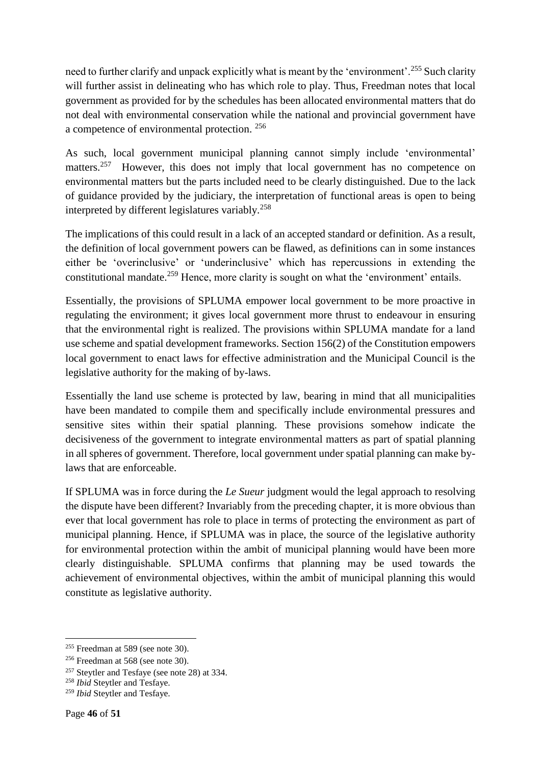need to further clarify and unpack explicitly what is meant by the 'environment'.<sup>255</sup> Such clarity will further assist in delineating who has which role to play. Thus, Freedman notes that local government as provided for by the schedules has been allocated environmental matters that do not deal with environmental conservation while the national and provincial government have a competence of environmental protection. <sup>256</sup>

As such, local government municipal planning cannot simply include 'environmental' matters.<sup>257</sup> However, this does not imply that local government has no competence on environmental matters but the parts included need to be clearly distinguished. Due to the lack of guidance provided by the judiciary, the interpretation of functional areas is open to being interpreted by different legislatures variably.<sup>258</sup>

The implications of this could result in a lack of an accepted standard or definition. As a result, the definition of local government powers can be flawed, as definitions can in some instances either be 'overinclusive' or 'underinclusive' which has repercussions in extending the constitutional mandate.<sup>259</sup> Hence, more clarity is sought on what the 'environment' entails.

Essentially, the provisions of SPLUMA empower local government to be more proactive in regulating the environment; it gives local government more thrust to endeavour in ensuring that the environmental right is realized. The provisions within SPLUMA mandate for a land use scheme and spatial development frameworks. Section 156(2) of the Constitution empowers local government to enact laws for effective administration and the Municipal Council is the legislative authority for the making of by-laws.

Essentially the land use scheme is protected by law, bearing in mind that all municipalities have been mandated to compile them and specifically include environmental pressures and sensitive sites within their spatial planning. These provisions somehow indicate the decisiveness of the government to integrate environmental matters as part of spatial planning in all spheres of government. Therefore, local government under spatial planning can make bylaws that are enforceable.

If SPLUMA was in force during the *Le Sueur* judgment would the legal approach to resolving the dispute have been different? Invariably from the preceding chapter, it is more obvious than ever that local government has role to place in terms of protecting the environment as part of municipal planning. Hence, if SPLUMA was in place, the source of the legislative authority for environmental protection within the ambit of municipal planning would have been more clearly distinguishable. SPLUMA confirms that planning may be used towards the achievement of environmental objectives, within the ambit of municipal planning this would constitute as legislative authority.

<sup>255</sup> Freedman at 589 (see note 30).

<sup>256</sup> Freedman at 568 (see note 30).

<sup>257</sup> Steytler and Tesfaye (see note 28) at 334.

<sup>258</sup> *Ibid* Steytler and Tesfaye.

<sup>259</sup> *Ibid* Steytler and Tesfaye.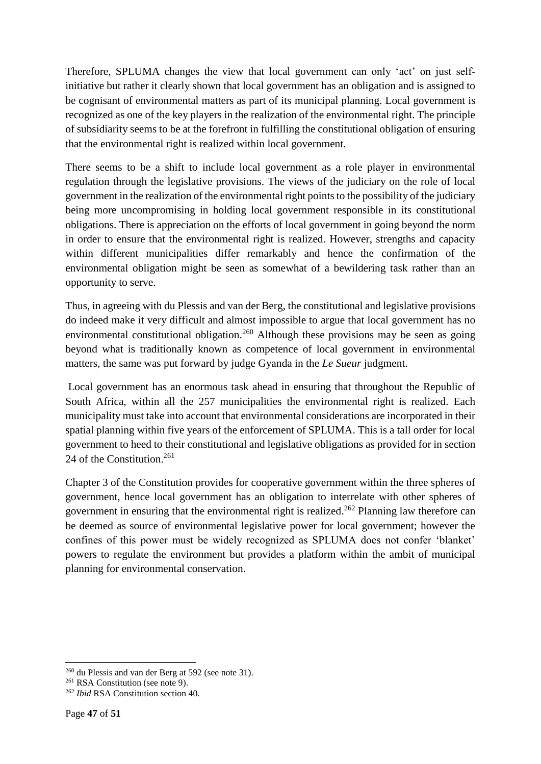Therefore, SPLUMA changes the view that local government can only 'act' on just selfinitiative but rather it clearly shown that local government has an obligation and is assigned to be cognisant of environmental matters as part of its municipal planning. Local government is recognized as one of the key players in the realization of the environmental right. The principle of subsidiarity seems to be at the forefront in fulfilling the constitutional obligation of ensuring that the environmental right is realized within local government.

There seems to be a shift to include local government as a role player in environmental regulation through the legislative provisions. The views of the judiciary on the role of local government in the realization of the environmental right points to the possibility of the judiciary being more uncompromising in holding local government responsible in its constitutional obligations. There is appreciation on the efforts of local government in going beyond the norm in order to ensure that the environmental right is realized. However, strengths and capacity within different municipalities differ remarkably and hence the confirmation of the environmental obligation might be seen as somewhat of a bewildering task rather than an opportunity to serve.

Thus, in agreeing with du Plessis and van der Berg, the constitutional and legislative provisions do indeed make it very difficult and almost impossible to argue that local government has no environmental constitutional obligation.<sup>260</sup> Although these provisions may be seen as going beyond what is traditionally known as competence of local government in environmental matters, the same was put forward by judge Gyanda in the *Le Sueur* judgment.

Local government has an enormous task ahead in ensuring that throughout the Republic of South Africa, within all the 257 municipalities the environmental right is realized. Each municipality must take into account that environmental considerations are incorporated in their spatial planning within five years of the enforcement of SPLUMA. This is a tall order for local government to heed to their constitutional and legislative obligations as provided for in section 24 of the Constitution. 261

Chapter 3 of the Constitution provides for cooperative government within the three spheres of government, hence local government has an obligation to interrelate with other spheres of government in ensuring that the environmental right is realized. <sup>262</sup> Planning law therefore can be deemed as source of environmental legislative power for local government; however the confines of this power must be widely recognized as SPLUMA does not confer 'blanket' powers to regulate the environment but provides a platform within the ambit of municipal planning for environmental conservation.

1

<sup>260</sup> du Plessis and van der Berg at 592 (see note 31).

<sup>261</sup> RSA Constitution (see note 9).

<sup>262</sup> *Ibid* RSA Constitution section 40.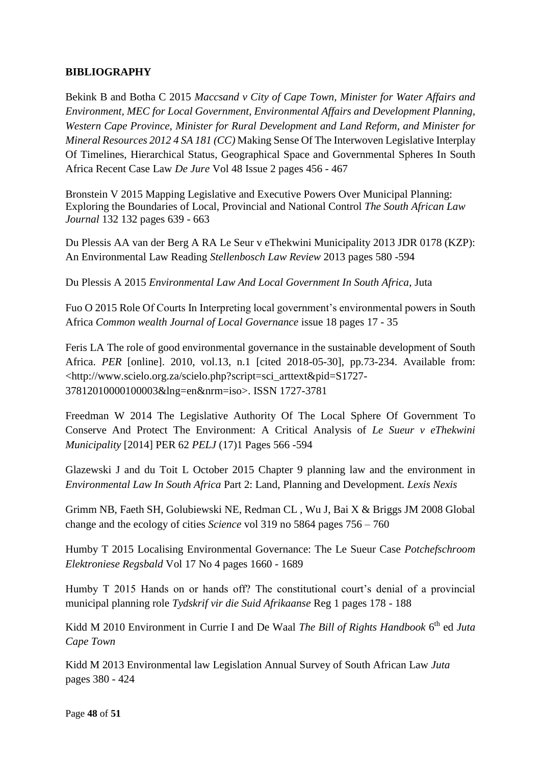#### <span id="page-47-0"></span>**BIBLIOGRAPHY**

Bekink B and Botha C 2015 *Maccsand v City of Cape Town, Minister for Water Affairs and Environment, MEC for Local Government, Environmental Affairs and Development Planning, Western Cape Province, Minister for Rural Development and Land Reform, and Minister for Mineral Resources 2012 4 SA 181 (CC)* Making Sense Of The Interwoven Legislative Interplay Of Timelines, Hierarchical Status, Geographical Space and Governmental Spheres In South Africa Recent Case Law *De Jure* Vol 48 Issue 2 pages 456 - 467

Bronstein V 2015 Mapping Legislative and Executive Powers Over Municipal Planning: Exploring the Boundaries of Local, Provincial and National Control *The South African Law Journal* 132 132 pages 639 - 663

Du Plessis AA van der Berg A RA Le Seur v eThekwini Municipality 2013 JDR 0178 (KZP): An Environmental Law Reading *Stellenbosch Law Review* 2013 pages 580 -594

Du Plessis A 2015 *Environmental Law And Local Government In South Africa*, Juta

Fuo O 2015 Role Of Courts In Interpreting local government's environmental powers in South Africa *Common wealth Journal of Local Governance* issue 18 pages 17 - 35

Feris LA The role of good environmental governance in the sustainable development of South Africa. *PER* [online]. 2010, vol.13, n.1 [cited 2018-05-30], pp.73-234. Available from: <http://www.scielo.org.za/scielo.php?script=sci\_arttext&pid=S1727- 37812010000100003&lng=en&nrm=iso>. ISSN 1727-3781

Freedman W 2014 The Legislative Authority Of The Local Sphere Of Government To Conserve And Protect The Environment: A Critical Analysis of *Le Sueur v eThekwini Municipality* [2014] PER 62 *PELJ* (17)1 Pages 566 -594

Glazewski J and du Toit L October 2015 Chapter 9 planning law and the environment in *Environmental Law In South Africa* Part 2: Land, Planning and Development. *Lexis Nexis*

Grimm NB, Faeth SH, Golubiewski NE, Redman CL , Wu J, Bai X & Briggs JM 2008 Global change and the ecology of cities *Science* vol 319 no 5864 pages 756 – 760

Humby T 2015 Localising Environmental Governance: The Le Sueur Case *Potchefschroom Elektroniese Regsbald* Vol 17 No 4 pages 1660 - 1689

Humby T 2015 Hands on or hands off? The constitutional court's denial of a provincial municipal planning role *Tydskrif vir die Suid Afrikaanse* Reg 1 pages 178 - 188

Kidd M 2010 Environment in Currie I and De Waal *The Bill of Rights Handbook* 6<sup>th</sup> ed Juta *Cape Town* 

Kidd M 2013 Environmental law Legislation Annual Survey of South African Law *Juta* pages 380 - 424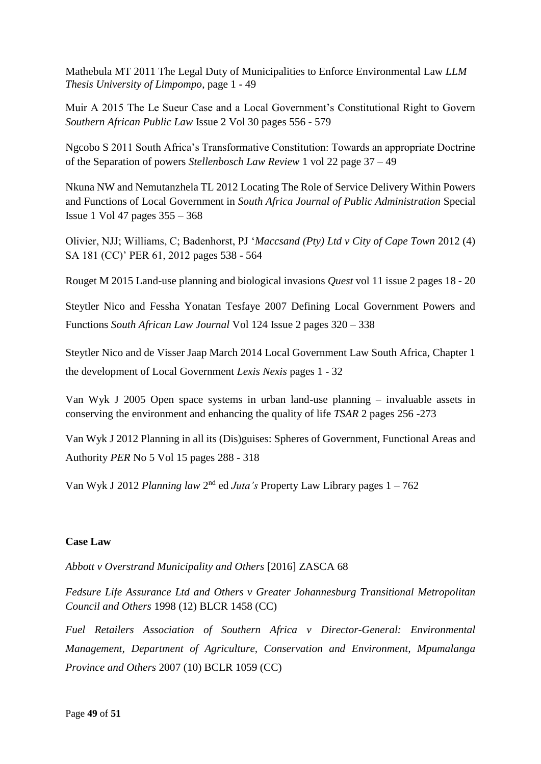Mathebula MT 2011 The Legal Duty of Municipalities to Enforce Environmental Law *LLM Thesis University of Limpompo*, page 1 - 49

Muir A 2015 The Le Sueur Case and a Local Government's Constitutional Right to Govern *Southern African Public Law* Issue 2 Vol 30 pages 556 - 579

Ngcobo S 2011 South Africa's Transformative Constitution: Towards an appropriate Doctrine of the Separation of powers *Stellenbosch Law Review* 1 vol 22 page 37 – 49

Nkuna NW and Nemutanzhela TL 2012 Locating The Role of Service Delivery Within Powers and Functions of Local Government in *South Africa Journal of Public Administration* Special Issue 1 Vol 47 pages 355 – 368

Olivier, NJJ; Williams, C; Badenhorst, PJ '*Maccsand (Pty) Ltd v City of Cape Town* 2012 (4) SA 181 (CC)' PER 61, 2012 pages 538 - 564

Rouget M 2015 Land-use planning and biological invasions *Quest* vol 11 issue 2 pages 18 - 20

Steytler Nico and Fessha Yonatan Tesfaye 2007 Defining Local Government Powers and Functions *South African Law Journal* Vol 124 Issue 2 pages 320 – 338

Steytler Nico and de Visser Jaap March 2014 Local Government Law South Africa, Chapter 1 the development of Local Government *Lexis Nexis* pages 1 - 32

Van Wyk J 2005 Open space systems in urban land-use planning – invaluable assets in conserving the environment and enhancing the quality of life *TSAR* 2 pages 256 -273

Van Wyk J 2012 Planning in all its (Dis)guises: Spheres of Government, Functional Areas and Authority *PER* No 5 Vol 15 pages 288 - 318

Van Wyk J 2012 *Planning law* 2<sup>nd</sup> ed *Juta's* Property Law Library pages 1 – 762

#### <span id="page-48-0"></span>**Case Law**

*Abbott v Overstrand Municipality and Others* [2016] ZASCA 68

*Fedsure Life Assurance Ltd and Others v Greater Johannesburg Transitional Metropolitan Council and Others* 1998 (12) BLCR 1458 (CC)

*Fuel Retailers Association of Southern Africa v Director-General: Environmental Management, Department of Agriculture, Conservation and Environment, Mpumalanga Province and Others* [2007](http://epress.lib.uts.edu.au/journals/index.php/cjlg/article/view/4840/5207#CIT0020_4840) (10) BCLR 1059 (CC)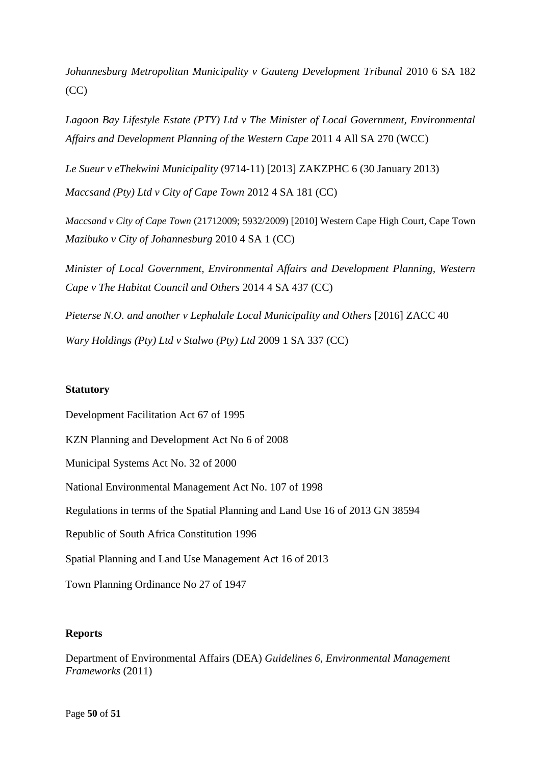*Johannesburg Metropolitan Municipality v Gauteng Development Tribunal* 2010 6 SA 182 (CC)

*Lagoon Bay Lifestyle Estate (PTY) Ltd v The Minister of Local Government, Environmental Affairs and Development Planning of the Western Cape* 2011 4 All SA 270 (WCC)

*Le Sueur v eThekwini Municipality* (9714-11) [2013] ZAKZPHC 6 (30 January 2013)

*Maccsand (Pty) Ltd v City of Cape Town* 2012 4 SA 181 (CC)

*Maccsand v City of Cape Town* (21712009; 5932/2009) [2010] Western Cape High Court, Cape Town *Mazibuko v City of Johannesburg* 2010 4 SA 1 (CC)

*Minister of Local Government, Environmental Affairs and Development Planning, Western Cape v The Habitat Council and Others* 2014 4 SA 437 (CC)

*Pieterse N.O. and another v Lephalale Local Municipality and Others* [2016] ZACC 40 *Wary Holdings (Pty) Ltd v Stalwo (Pty) Ltd* 2009 1 SA 337 (CC)

#### <span id="page-49-0"></span>**Statutory**

Development Facilitation Act 67 of 1995 KZN Planning and Development Act No 6 of 2008 Municipal Systems Act No. 32 of 2000 National Environmental Management Act No. 107 of 1998 Regulations in terms of the Spatial Planning and Land Use 16 of 2013 GN 38594 Republic of South Africa Constitution 1996 Spatial Planning and Land Use Management Act 16 of 2013

Town Planning Ordinance No 27 of 1947

#### <span id="page-49-1"></span>**Reports**

Department of Environmental Affairs (DEA) *Guidelines 6, Environmental Management Frameworks* (2011)